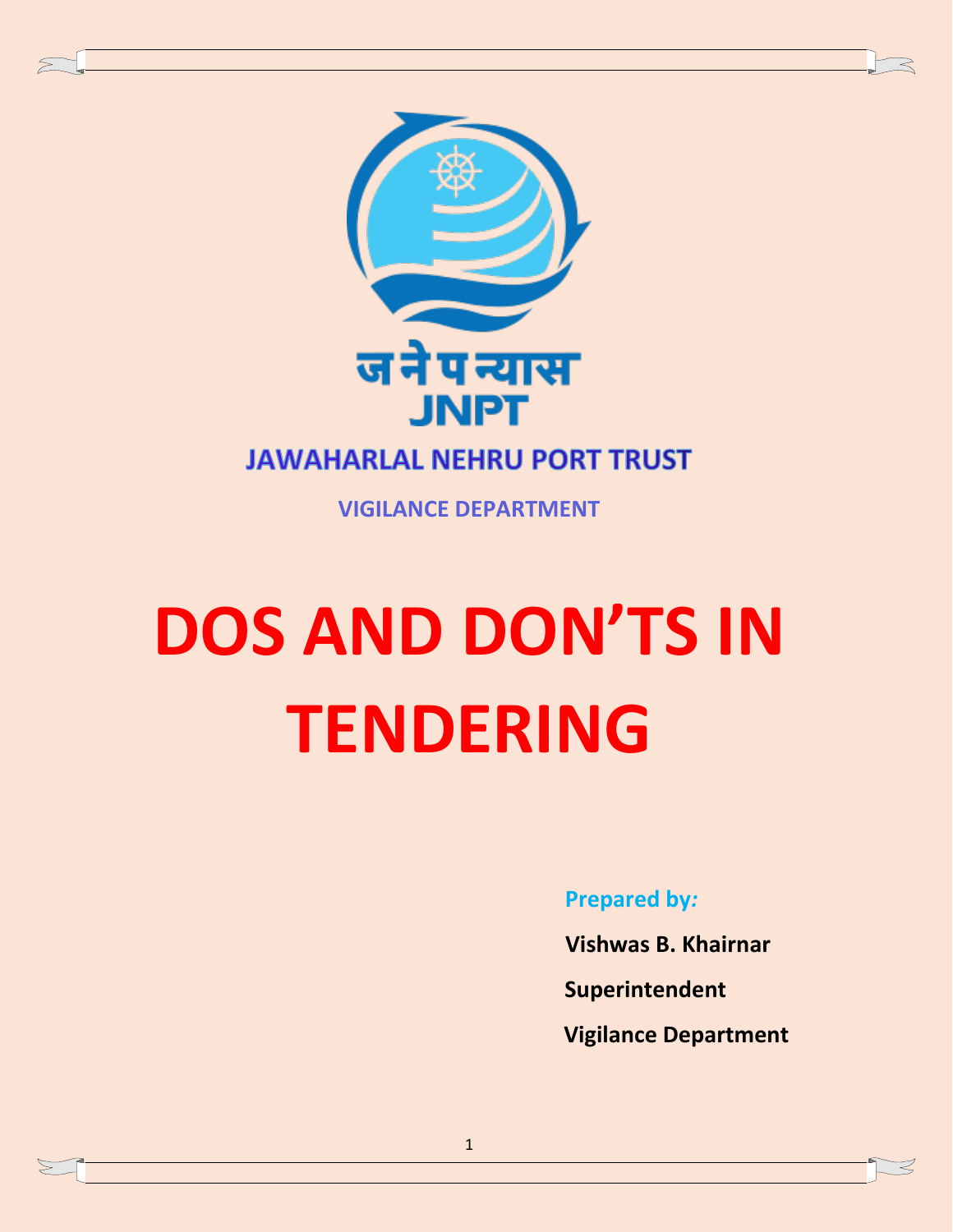

**VIGILANCE DEPARTMENT**

# **DOS AND DON'TS IN TENDERING**

**Prepared by***:*

- **Vishwas B. Khairnar**
- **Superintendent**
- **Vigilance Department**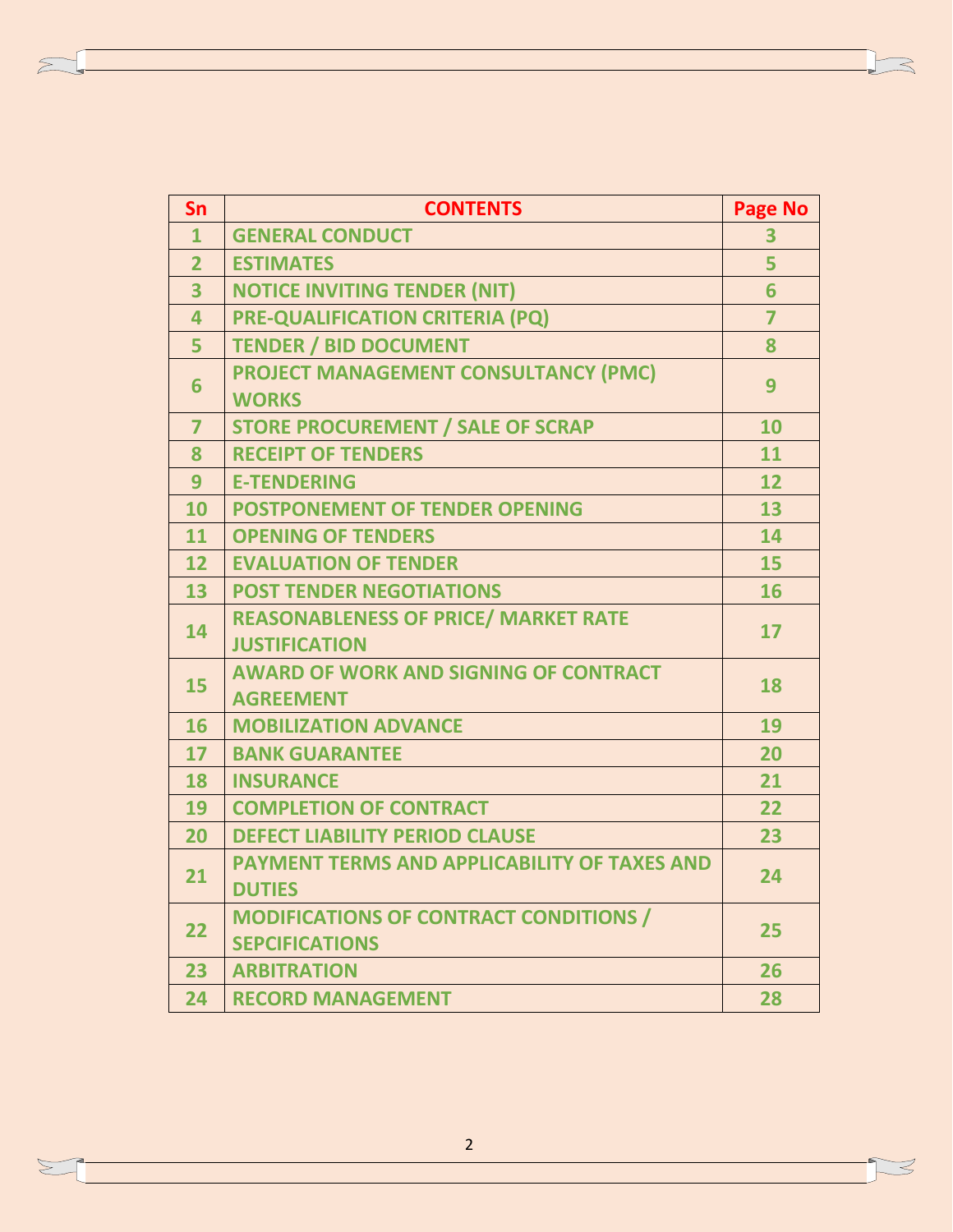| Sn             | <b>CONTENTS</b>                                     | <b>Page No</b> |
|----------------|-----------------------------------------------------|----------------|
| $\mathbf{1}$   | <b>GENERAL CONDUCT</b>                              | 3              |
| $\overline{2}$ | <b>ESTIMATES</b>                                    | 5              |
| 3              | <b>NOTICE INVITING TENDER (NIT)</b>                 | 6              |
| 4              | <b>PRE-QUALIFICATION CRITERIA (PQ)</b>              | $\overline{7}$ |
| 5              | <b>TENDER / BID DOCUMENT</b>                        | 8              |
| 6              | <b>PROJECT MANAGEMENT CONSULTANCY (PMC)</b>         | 9              |
|                | <b>WORKS</b>                                        |                |
| $\overline{7}$ | <b>STORE PROCUREMENT / SALE OF SCRAP</b>            | 10             |
| 8              | <b>RECEIPT OF TENDERS</b>                           | 11             |
| 9              | <b>E-TENDERING</b>                                  | 12             |
| 10             | <b>POSTPONEMENT OF TENDER OPENING</b>               | 13             |
| 11             | <b>OPENING OF TENDERS</b>                           | 14             |
| 12             | <b>EVALUATION OF TENDER</b>                         | 15             |
| 13             | <b>POST TENDER NEGOTIATIONS</b>                     | 16             |
| 14             | <b>REASONABLENESS OF PRICE/ MARKET RATE</b>         | 17             |
|                | <b>JUSTIFICATION</b>                                |                |
| 15             | <b>AWARD OF WORK AND SIGNING OF CONTRACT</b>        | 18             |
|                | <b>AGREEMENT</b>                                    |                |
| 16             | <b>MOBILIZATION ADVANCE</b>                         | 19             |
| 17             | <b>BANK GUARANTEE</b>                               | 20             |
| 18             | <b>INSURANCE</b>                                    | 21             |
| 19             | <b>COMPLETION OF CONTRACT</b>                       | 22             |
| 20             | <b>DEFECT LIABILITY PERIOD CLAUSE</b>               | 23             |
| 21             | <b>PAYMENT TERMS AND APPLICABILITY OF TAXES AND</b> | 24             |
|                | <b>DUTIES</b>                                       |                |
| 22             | <b>MODIFICATIONS OF CONTRACT CONDITIONS /</b>       | 25             |
|                | <b>SEPCIFICATIONS</b>                               |                |
| 23             | <b>ARBITRATION</b>                                  | 26             |
| 24             | <b>RECORD MANAGEMENT</b>                            | 28             |

 $\leq$ 

 $\sum \limits$ 

 $\mathbb{Z}$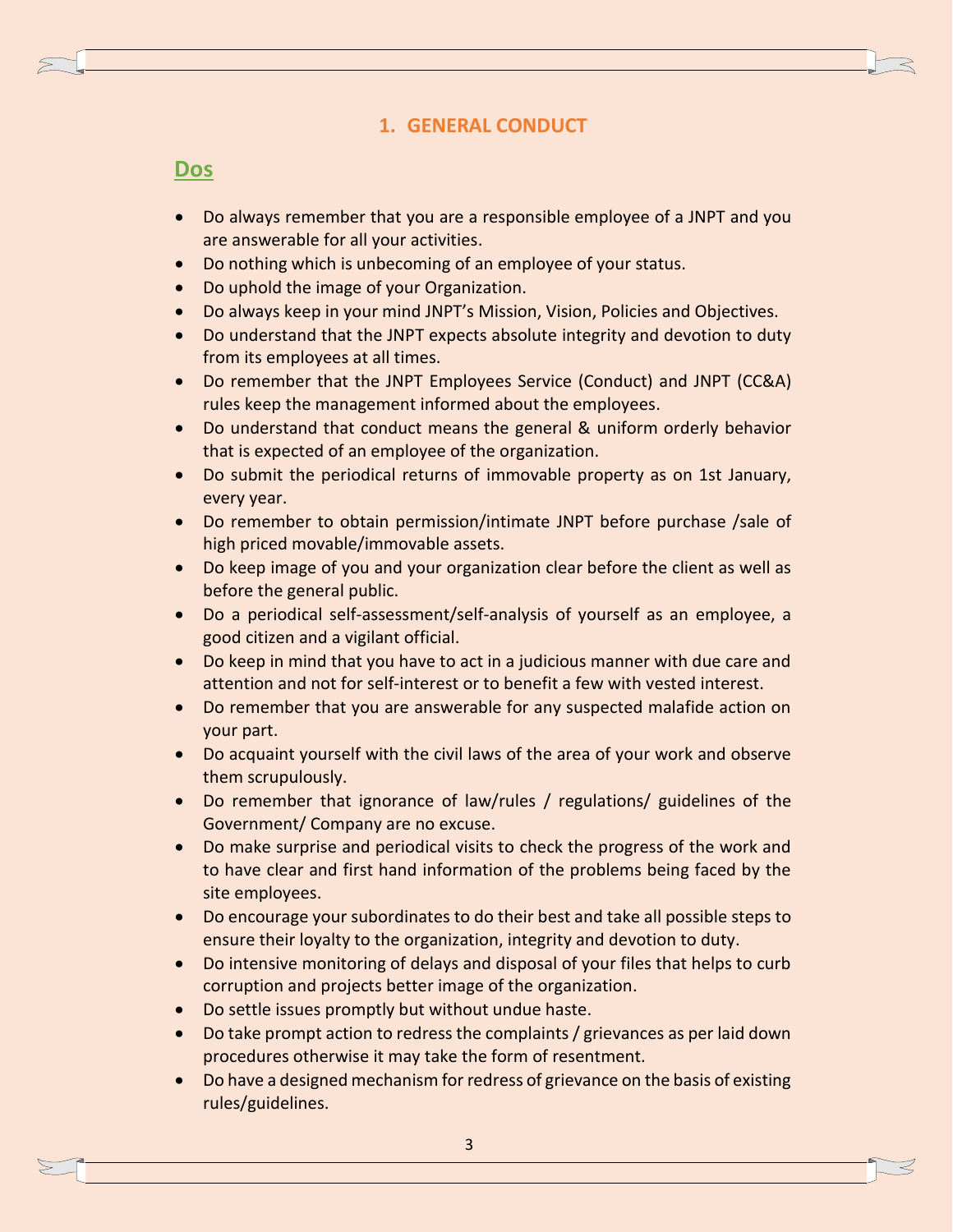## **1. GENERAL CONDUCT**

## **Dos**

- Do always remember that you are a responsible employee of a JNPT and you are answerable for all your activities.
- Do nothing which is unbecoming of an employee of your status.
- Do uphold the image of your Organization.
- Do always keep in your mind JNPT's Mission, Vision, Policies and Objectives.
- Do understand that the JNPT expects absolute integrity and devotion to duty from its employees at all times.
- Do remember that the JNPT Employees Service (Conduct) and JNPT (CC&A) rules keep the management informed about the employees.
- Do understand that conduct means the general & uniform orderly behavior that is expected of an employee of the organization.
- Do submit the periodical returns of immovable property as on 1st January, every year.
- Do remember to obtain permission/intimate JNPT before purchase /sale of high priced movable/immovable assets.
- Do keep image of you and your organization clear before the client as well as before the general public.
- Do a periodical self-assessment/self-analysis of yourself as an employee, a good citizen and a vigilant official.
- Do keep in mind that you have to act in a judicious manner with due care and attention and not for self-interest or to benefit a few with vested interest.
- Do remember that you are answerable for any suspected malafide action on your part.
- Do acquaint yourself with the civil laws of the area of your work and observe them scrupulously.
- Do remember that ignorance of law/rules / regulations/ guidelines of the Government/ Company are no excuse.
- Do make surprise and periodical visits to check the progress of the work and to have clear and first hand information of the problems being faced by the site employees.
- Do encourage your subordinates to do their best and take all possible steps to ensure their loyalty to the organization, integrity and devotion to duty.
- Do intensive monitoring of delays and disposal of your files that helps to curb corruption and projects better image of the organization.
- Do settle issues promptly but without undue haste.
- Do take prompt action to redress the complaints / grievances as per laid down procedures otherwise it may take the form of resentment.
- Do have a designed mechanism for redress of grievance on the basis of existing rules/guidelines.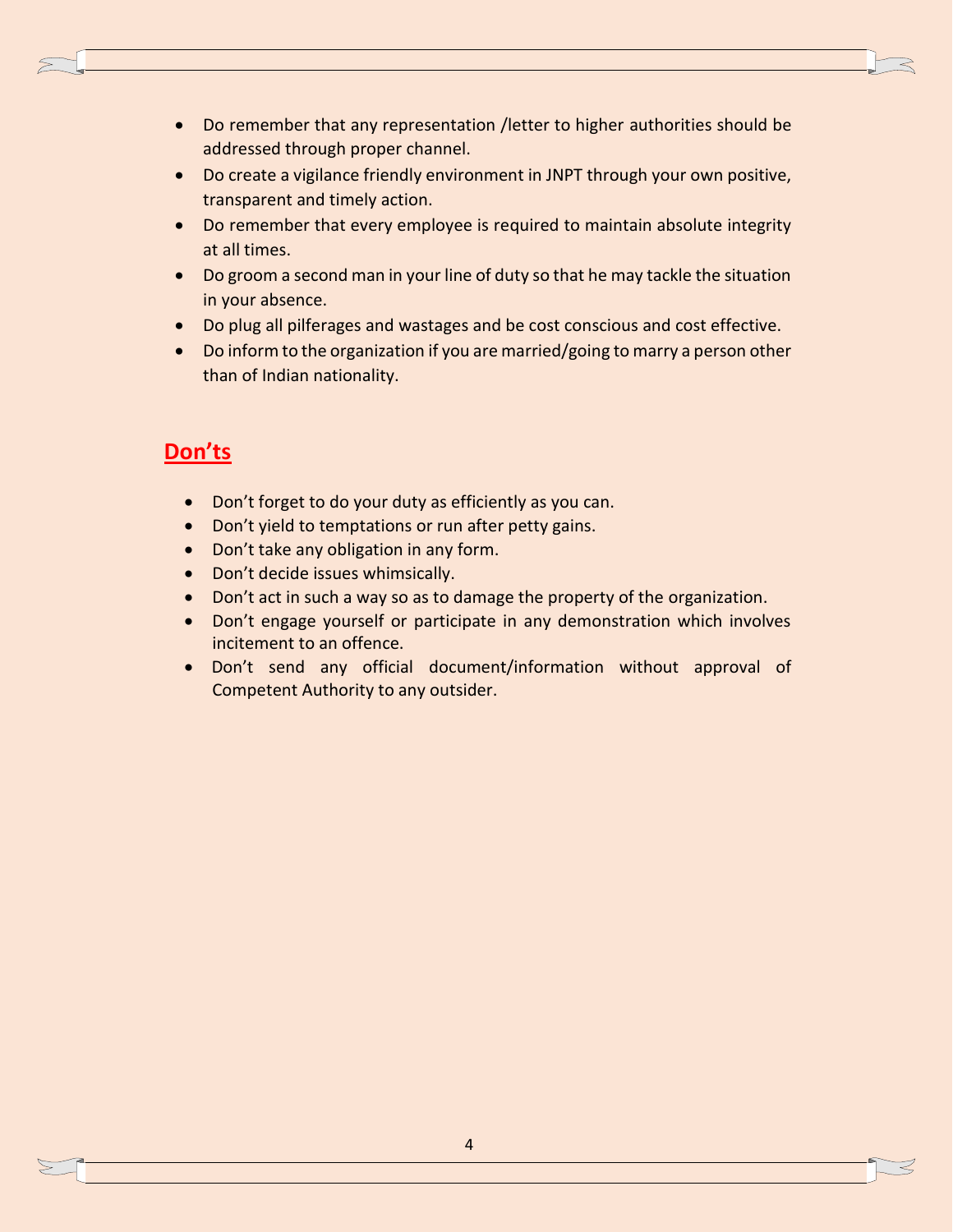- Do remember that any representation /letter to higher authorities should be addressed through proper channel.
- Do create a vigilance friendly environment in JNPT through your own positive, transparent and timely action.
- Do remember that every employee is required to maintain absolute integrity at all times.
- Do groom a second man in your line of duty so that he may tackle the situation in your absence.
- Do plug all pilferages and wastages and be cost conscious and cost effective.
- Do inform to the organization if you are married/going to marry a person other than of Indian nationality.

- Don't forget to do your duty as efficiently as you can.
- Don't yield to temptations or run after petty gains.
- Don't take any obligation in any form.
- Don't decide issues whimsically.
- Don't act in such a way so as to damage the property of the organization.
- Don't engage yourself or participate in any demonstration which involves incitement to an offence.
- Don't send any official document/information without approval of Competent Authority to any outsider.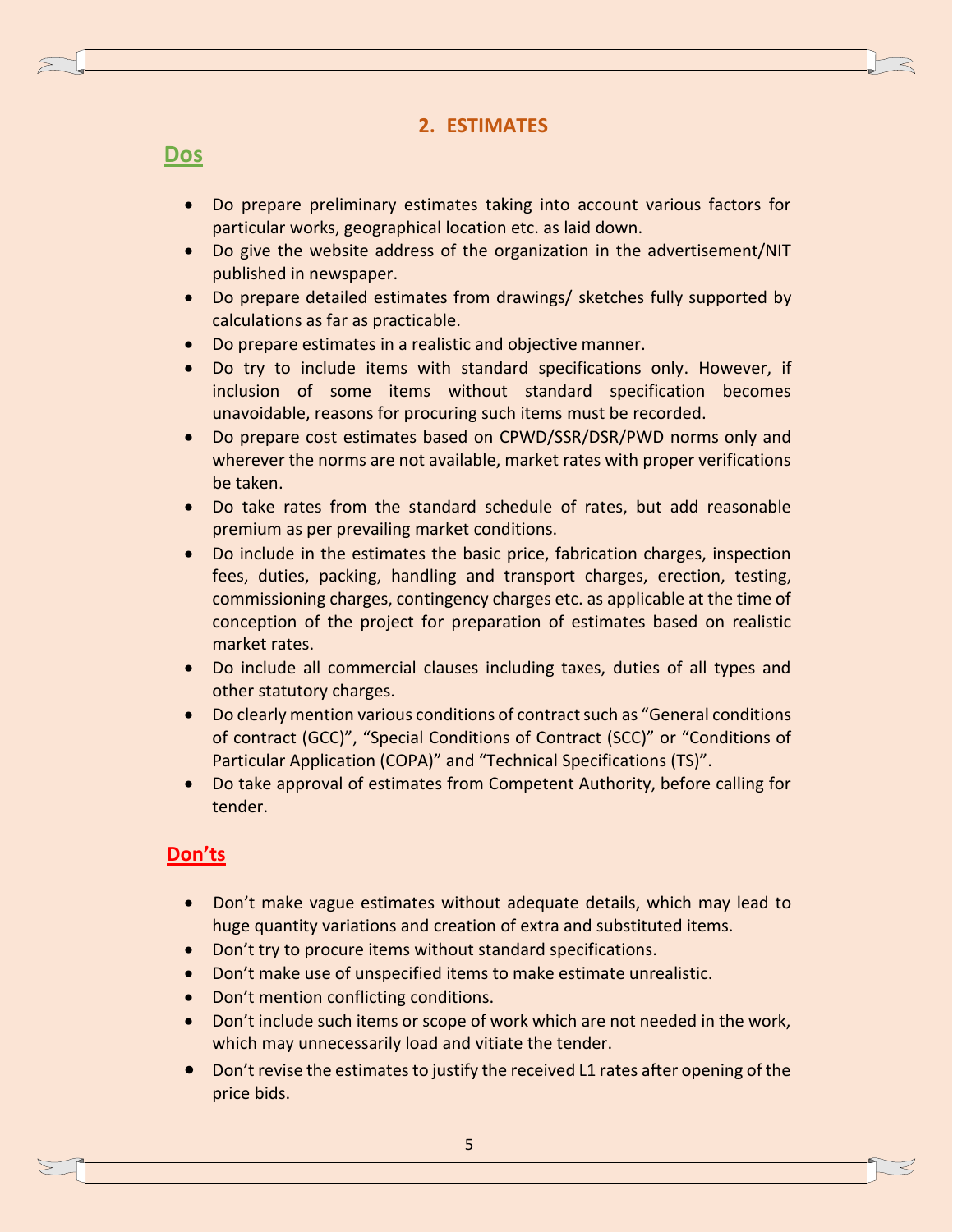## **2. ESTIMATES**

## **Dos**

- Do prepare preliminary estimates taking into account various factors for particular works, geographical location etc. as laid down.
- Do give the website address of the organization in the advertisement/NIT published in newspaper.
- Do prepare detailed estimates from drawings/ sketches fully supported by calculations as far as practicable.
- Do prepare estimates in a realistic and objective manner.
- Do try to include items with standard specifications only. However, if inclusion of some items without standard specification becomes unavoidable, reasons for procuring such items must be recorded.
- Do prepare cost estimates based on CPWD/SSR/DSR/PWD norms only and wherever the norms are not available, market rates with proper verifications be taken.
- Do take rates from the standard schedule of rates, but add reasonable premium as per prevailing market conditions.
- Do include in the estimates the basic price, fabrication charges, inspection fees, duties, packing, handling and transport charges, erection, testing, commissioning charges, contingency charges etc. as applicable at the time of conception of the project for preparation of estimates based on realistic market rates.
- Do include all commercial clauses including taxes, duties of all types and other statutory charges.
- Do clearly mention various conditions of contract such as "General conditions of contract (GCC)", "Special Conditions of Contract (SCC)" or "Conditions of Particular Application (COPA)" and "Technical Specifications (TS)".
- Do take approval of estimates from Competent Authority, before calling for tender.

- Don't make vague estimates without adequate details, which may lead to huge quantity variations and creation of extra and substituted items.
- Don't try to procure items without standard specifications.
- Don't make use of unspecified items to make estimate unrealistic.
- Don't mention conflicting conditions.
- Don't include such items or scope of work which are not needed in the work, which may unnecessarily load and vitiate the tender.
- Don't revise the estimates to justify the received L1 rates after opening of the price bids.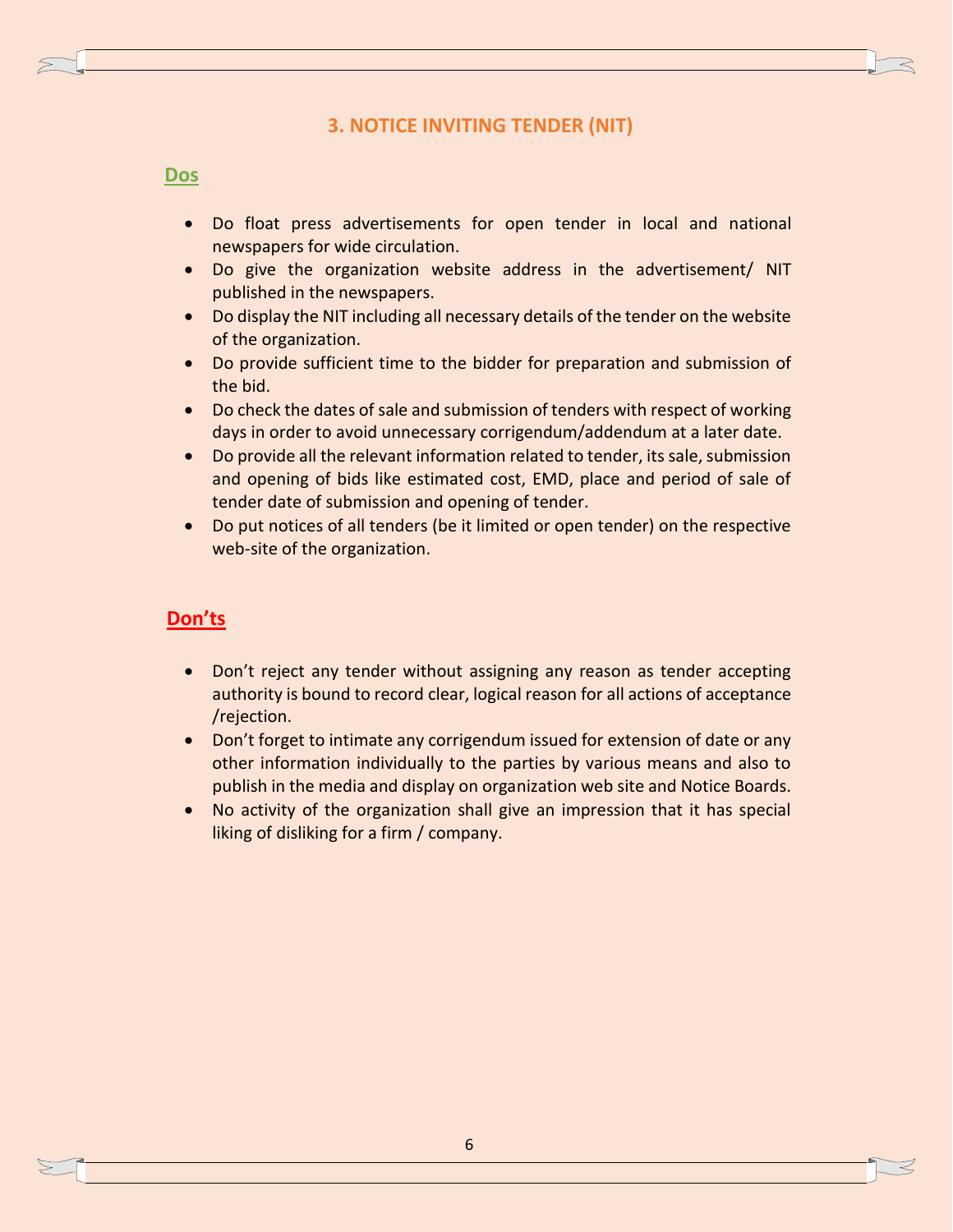## **3. NOTICE INVITING TENDER (NIT)**

#### **Dos**

- Do float press advertisements for open tender in local and national newspapers for wide circulation.
- Do give the organization website address in the advertisement/ NIT published in the newspapers.
- Do display the NIT including all necessary details of the tender on the website of the organization.
- Do provide sufficient time to the bidder for preparation and submission of the bid.
- Do check the dates of sale and submission of tenders with respect of working days in order to avoid unnecessary corrigendum/addendum at a later date.
- Do provide all the relevant information related to tender, its sale, submission and opening of bids like estimated cost, EMD, place and period of sale of tender date of submission and opening of tender.
- Do put notices of all tenders (be it limited or open tender) on the respective web-site of the organization.

#### **Don'ts**

- Don't reject any tender without assigning any reason as tender accepting authority is bound to record clear, logical reason for all actions of acceptance /rejection.
- Don't forget to intimate any corrigendum issued for extension of date or any other information individually to the parties by various means and also to publish in the media and display on organization web site and Notice Boards.
- No activity of the organization shall give an impression that it has special liking of disliking for a firm / company.

6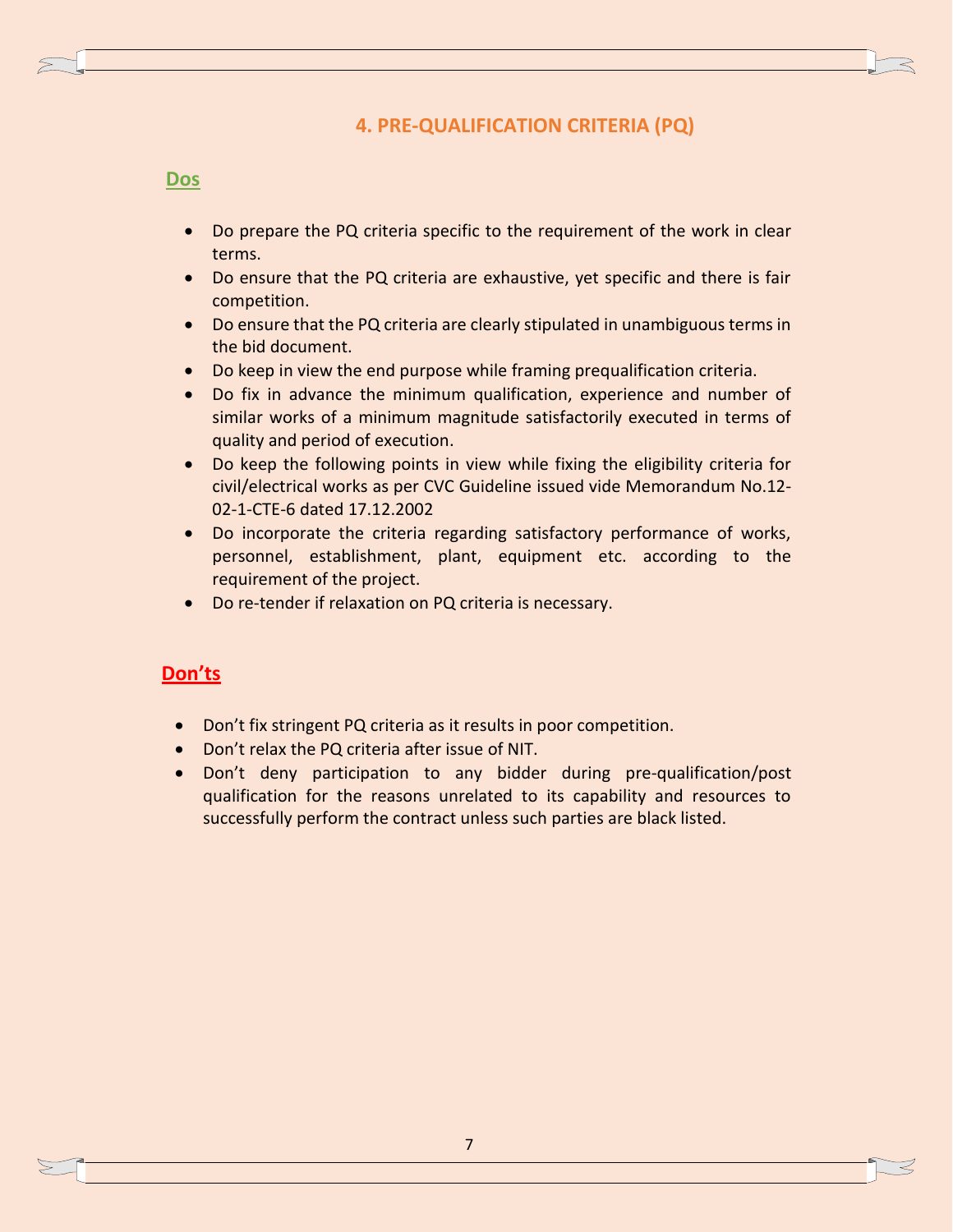## **4. PRE-QUALIFICATION CRITERIA (PQ)**

#### **Dos**

- Do prepare the PQ criteria specific to the requirement of the work in clear terms.
- Do ensure that the PQ criteria are exhaustive, yet specific and there is fair competition.
- Do ensure that the PQ criteria are clearly stipulated in unambiguous terms in the bid document.
- Do keep in view the end purpose while framing prequalification criteria.
- Do fix in advance the minimum qualification, experience and number of similar works of a minimum magnitude satisfactorily executed in terms of quality and period of execution.
- Do keep the following points in view while fixing the eligibility criteria for civil/electrical works as per CVC Guideline issued vide Memorandum No.12- 02-1-CTE-6 dated 17.12.2002
- Do incorporate the criteria regarding satisfactory performance of works, personnel, establishment, plant, equipment etc. according to the requirement of the project.
- Do re-tender if relaxation on PQ criteria is necessary.

- Don't fix stringent PQ criteria as it results in poor competition.
- Don't relax the PQ criteria after issue of NIT.
- Don't deny participation to any bidder during pre-qualification/post qualification for the reasons unrelated to its capability and resources to successfully perform the contract unless such parties are black listed.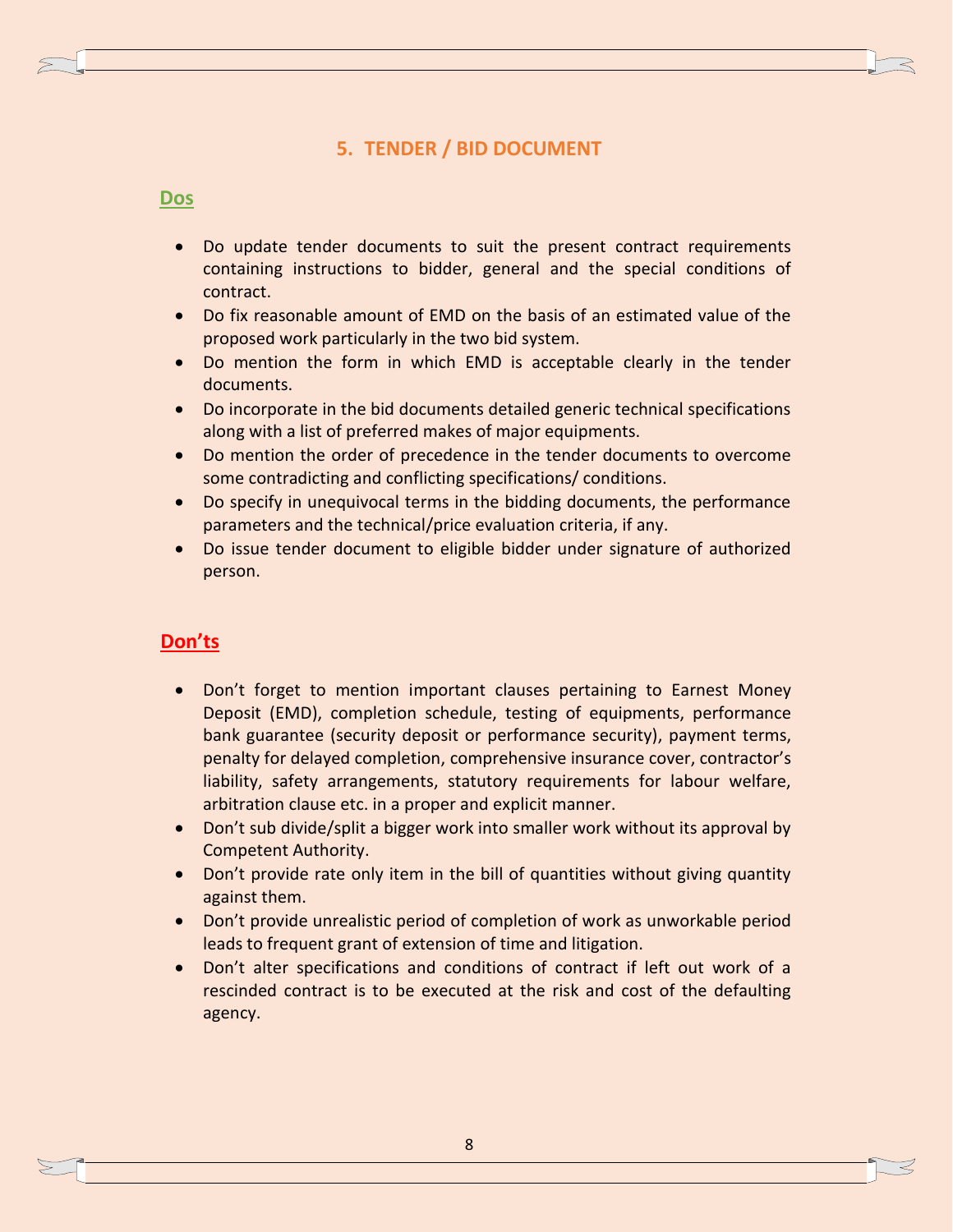## **5. TENDER / BID DOCUMENT**

#### **Dos**

- Do update tender documents to suit the present contract requirements containing instructions to bidder, general and the special conditions of contract.
- Do fix reasonable amount of EMD on the basis of an estimated value of the proposed work particularly in the two bid system.
- Do mention the form in which EMD is acceptable clearly in the tender documents.
- Do incorporate in the bid documents detailed generic technical specifications along with a list of preferred makes of major equipments.
- Do mention the order of precedence in the tender documents to overcome some contradicting and conflicting specifications/ conditions.
- Do specify in unequivocal terms in the bidding documents, the performance parameters and the technical/price evaluation criteria, if any.
- Do issue tender document to eligible bidder under signature of authorized person.

- Don't forget to mention important clauses pertaining to Earnest Money Deposit (EMD), completion schedule, testing of equipments, performance bank guarantee (security deposit or performance security), payment terms, penalty for delayed completion, comprehensive insurance cover, contractor's liability, safety arrangements, statutory requirements for labour welfare, arbitration clause etc. in a proper and explicit manner.
- Don't sub divide/split a bigger work into smaller work without its approval by Competent Authority.
- Don't provide rate only item in the bill of quantities without giving quantity against them.
- Don't provide unrealistic period of completion of work as unworkable period leads to frequent grant of extension of time and litigation.
- Don't alter specifications and conditions of contract if left out work of a rescinded contract is to be executed at the risk and cost of the defaulting agency.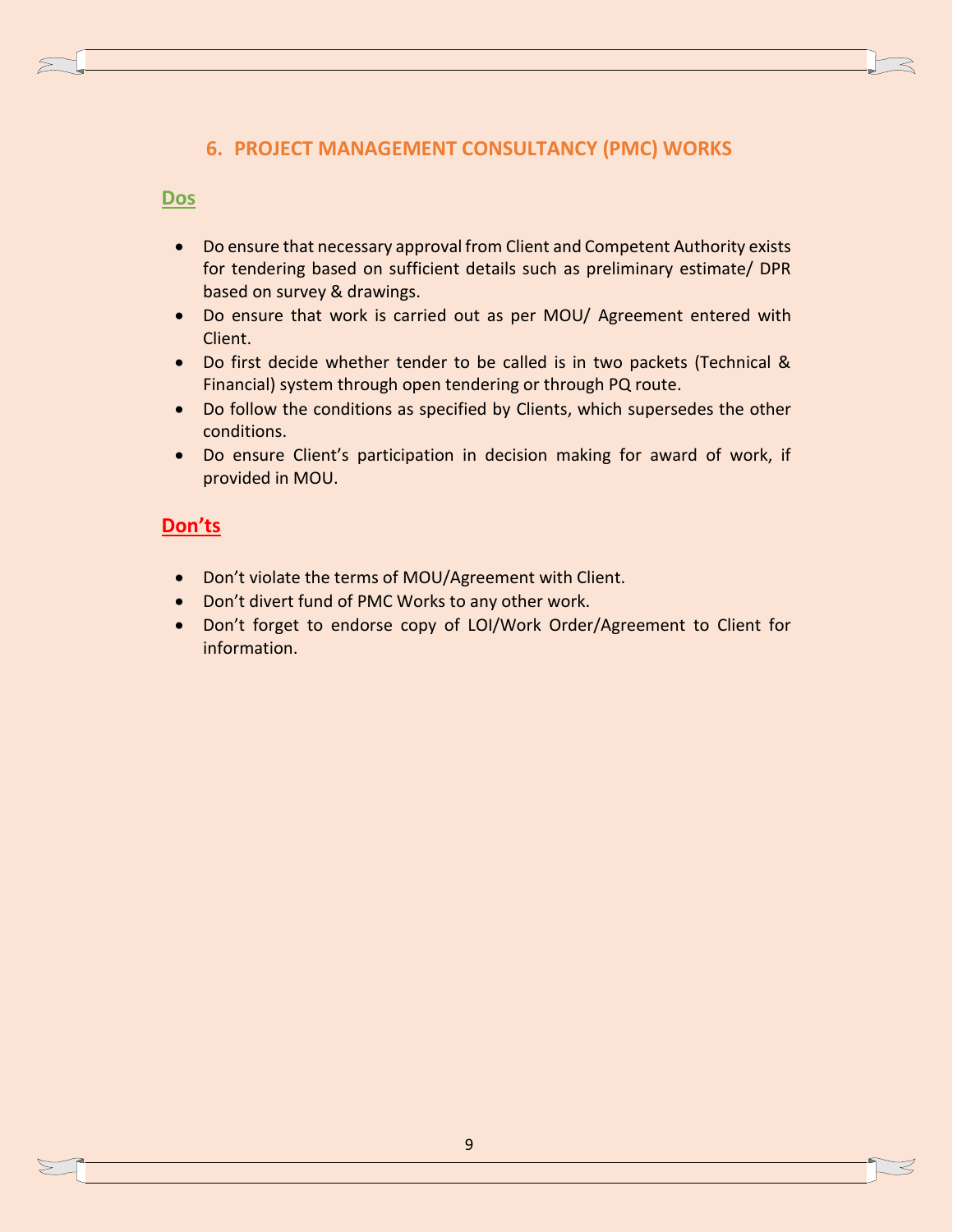## **6. PROJECT MANAGEMENT CONSULTANCY (PMC) WORKS**

#### **Dos**

- Do ensure that necessary approval from Client and Competent Authority exists for tendering based on sufficient details such as preliminary estimate/ DPR based on survey & drawings.
- Do ensure that work is carried out as per MOU/ Agreement entered with Client.
- Do first decide whether tender to be called is in two packets (Technical & Financial) system through open tendering or through PQ route.
- Do follow the conditions as specified by Clients, which supersedes the other conditions.
- Do ensure Client's participation in decision making for award of work, if provided in MOU.

- Don't violate the terms of MOU/Agreement with Client.
- Don't divert fund of PMC Works to any other work.
- Don't forget to endorse copy of LOI/Work Order/Agreement to Client for information.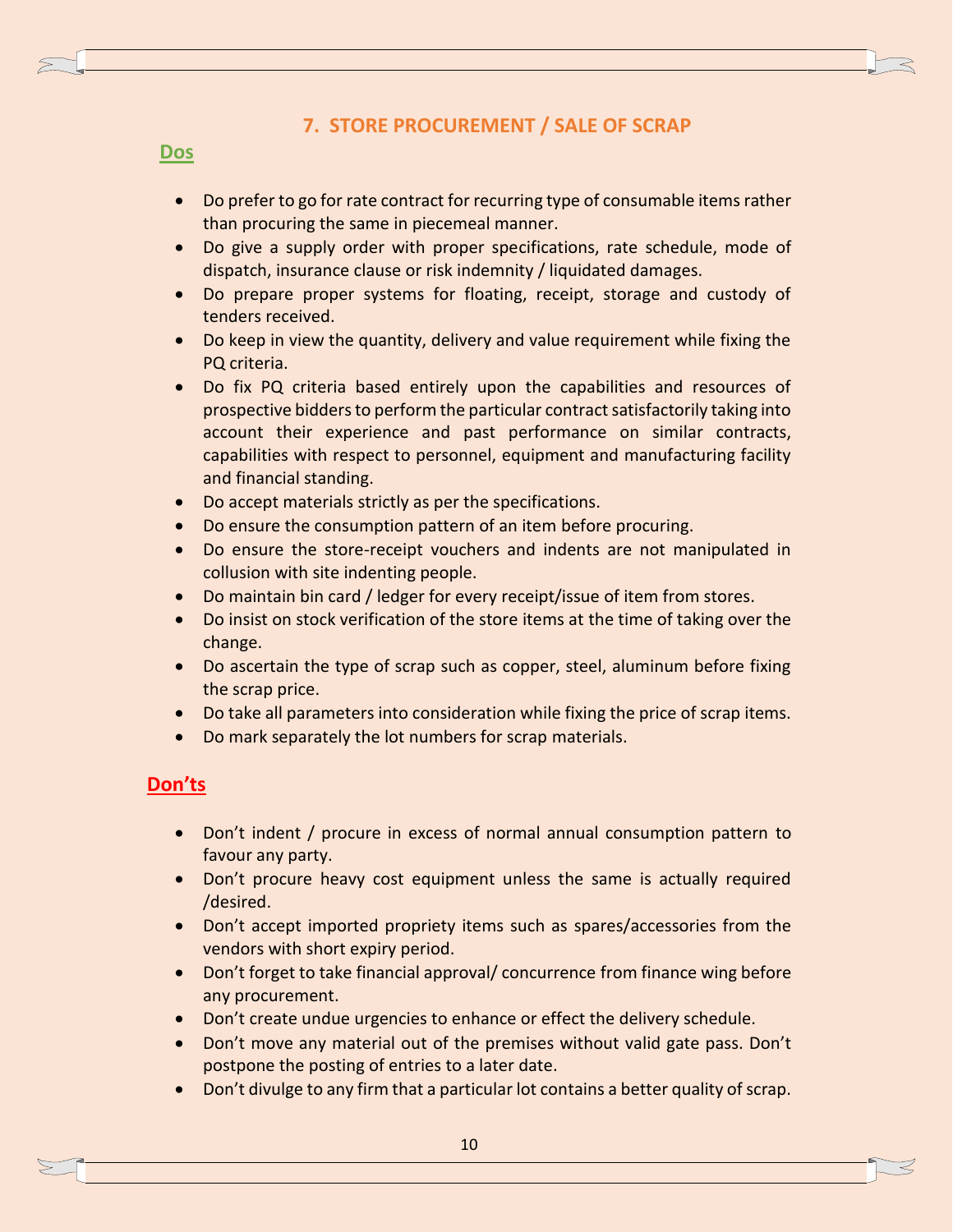## **7. STORE PROCUREMENT / SALE OF SCRAP**

#### **Dos**

- Do prefer to go for rate contract for recurring type of consumable items rather than procuring the same in piecemeal manner.
- Do give a supply order with proper specifications, rate schedule, mode of dispatch, insurance clause or risk indemnity / liquidated damages.
- Do prepare proper systems for floating, receipt, storage and custody of tenders received.
- Do keep in view the quantity, delivery and value requirement while fixing the PQ criteria.
- Do fix PQ criteria based entirely upon the capabilities and resources of prospective bidders to perform the particular contract satisfactorily taking into account their experience and past performance on similar contracts, capabilities with respect to personnel, equipment and manufacturing facility and financial standing.
- Do accept materials strictly as per the specifications.
- Do ensure the consumption pattern of an item before procuring.
- Do ensure the store-receipt vouchers and indents are not manipulated in collusion with site indenting people.
- Do maintain bin card / ledger for every receipt/issue of item from stores.
- Do insist on stock verification of the store items at the time of taking over the change.
- Do ascertain the type of scrap such as copper, steel, aluminum before fixing the scrap price.
- Do take all parameters into consideration while fixing the price of scrap items.
- Do mark separately the lot numbers for scrap materials.

- Don't indent / procure in excess of normal annual consumption pattern to favour any party.
- Don't procure heavy cost equipment unless the same is actually required /desired.
- Don't accept imported propriety items such as spares/accessories from the vendors with short expiry period.
- Don't forget to take financial approval/ concurrence from finance wing before any procurement.
- Don't create undue urgencies to enhance or effect the delivery schedule.
- Don't move any material out of the premises without valid gate pass. Don't postpone the posting of entries to a later date.
- Don't divulge to any firm that a particular lot contains a better quality of scrap.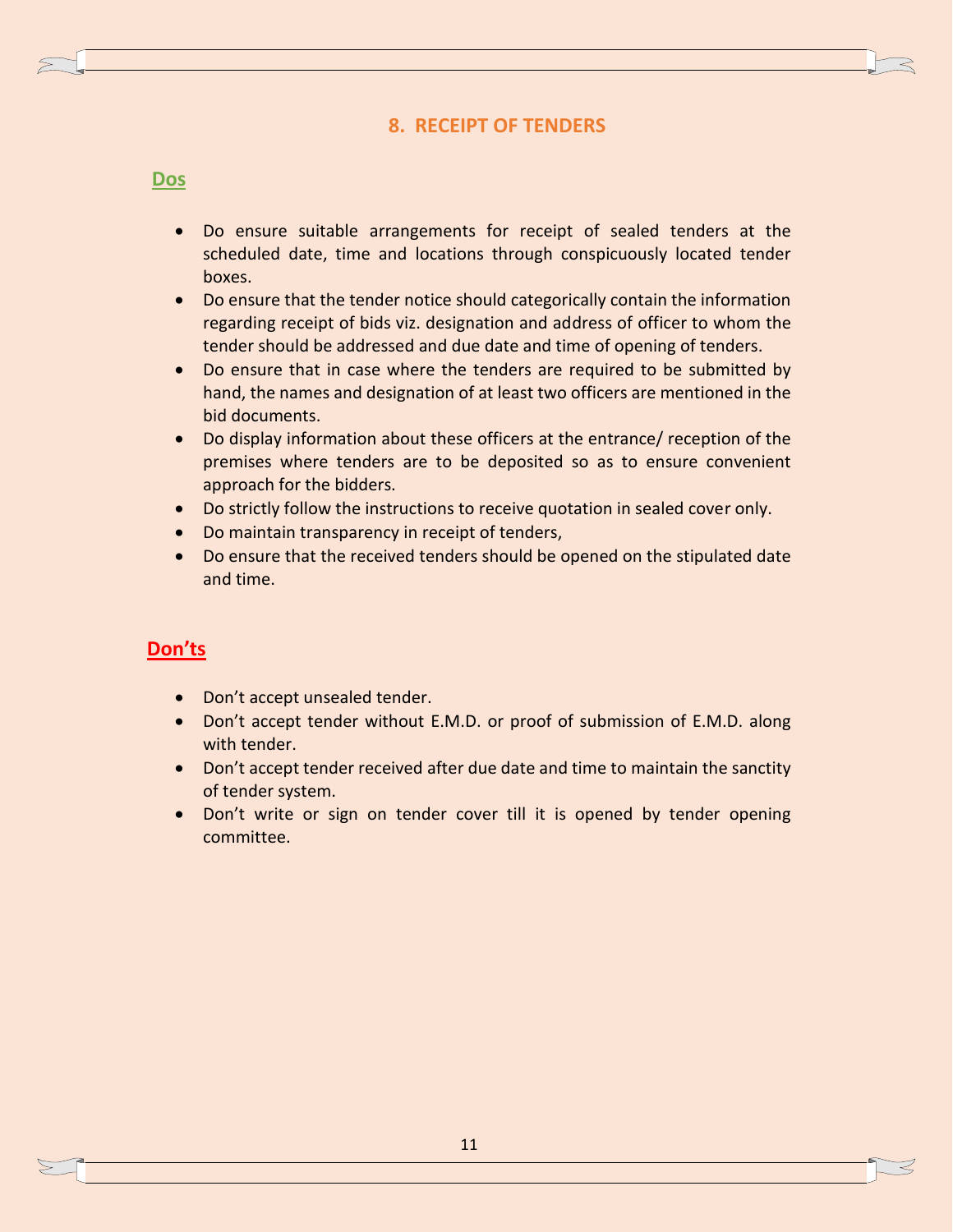## **8. RECEIPT OF TENDERS**

#### **Dos**

- Do ensure suitable arrangements for receipt of sealed tenders at the scheduled date, time and locations through conspicuously located tender boxes.
- Do ensure that the tender notice should categorically contain the information regarding receipt of bids viz. designation and address of officer to whom the tender should be addressed and due date and time of opening of tenders.
- Do ensure that in case where the tenders are required to be submitted by hand, the names and designation of at least two officers are mentioned in the bid documents.
- Do display information about these officers at the entrance/ reception of the premises where tenders are to be deposited so as to ensure convenient approach for the bidders.
- Do strictly follow the instructions to receive quotation in sealed cover only.
- Do maintain transparency in receipt of tenders,
- Do ensure that the received tenders should be opened on the stipulated date and time.

- Don't accept unsealed tender.
- Don't accept tender without E.M.D. or proof of submission of E.M.D. along with tender.
- Don't accept tender received after due date and time to maintain the sanctity of tender system.
- Don't write or sign on tender cover till it is opened by tender opening committee.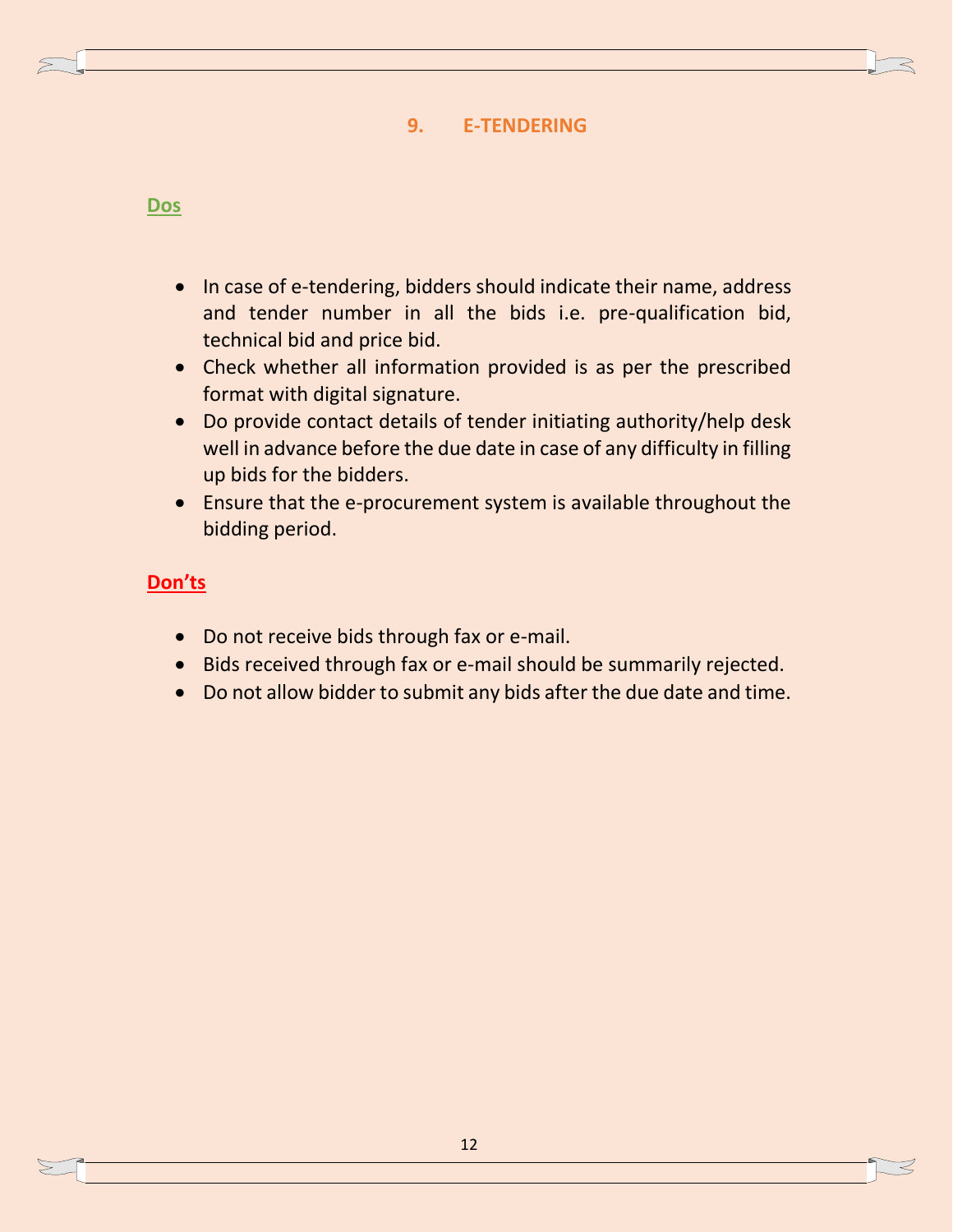## **9. E-TENDERING**

## **Dos**

- In case of e-tendering, bidders should indicate their name, address and tender number in all the bids i.e. pre-qualification bid, technical bid and price bid.
- Check whether all information provided is as per the prescribed format with digital signature.
- Do provide contact details of tender initiating authority/help desk well in advance before the due date in case of any difficulty in filling up bids for the bidders.
- Ensure that the e-procurement system is available throughout the bidding period.

- Do not receive bids through fax or e-mail.
- Bids received through fax or e-mail should be summarily rejected.
- Do not allow bidder to submit any bids after the due date and time.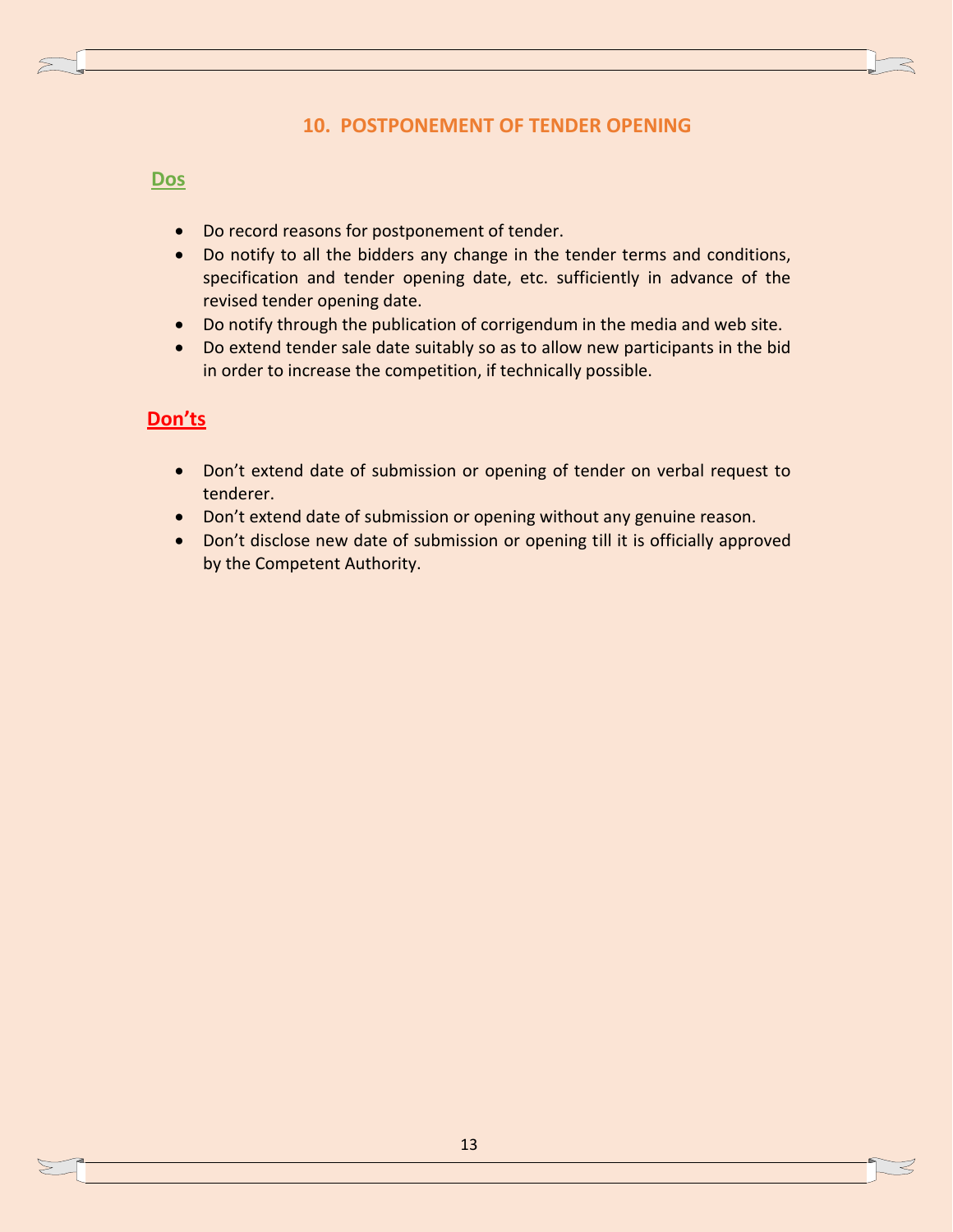## **10. POSTPONEMENT OF TENDER OPENING**

#### **Dos**

- Do record reasons for postponement of tender.
- Do notify to all the bidders any change in the tender terms and conditions, specification and tender opening date, etc. sufficiently in advance of the revised tender opening date.
- Do notify through the publication of corrigendum in the media and web site.
- Do extend tender sale date suitably so as to allow new participants in the bid in order to increase the competition, if technically possible.

- Don't extend date of submission or opening of tender on verbal request to tenderer.
- Don't extend date of submission or opening without any genuine reason.
- Don't disclose new date of submission or opening till it is officially approved by the Competent Authority.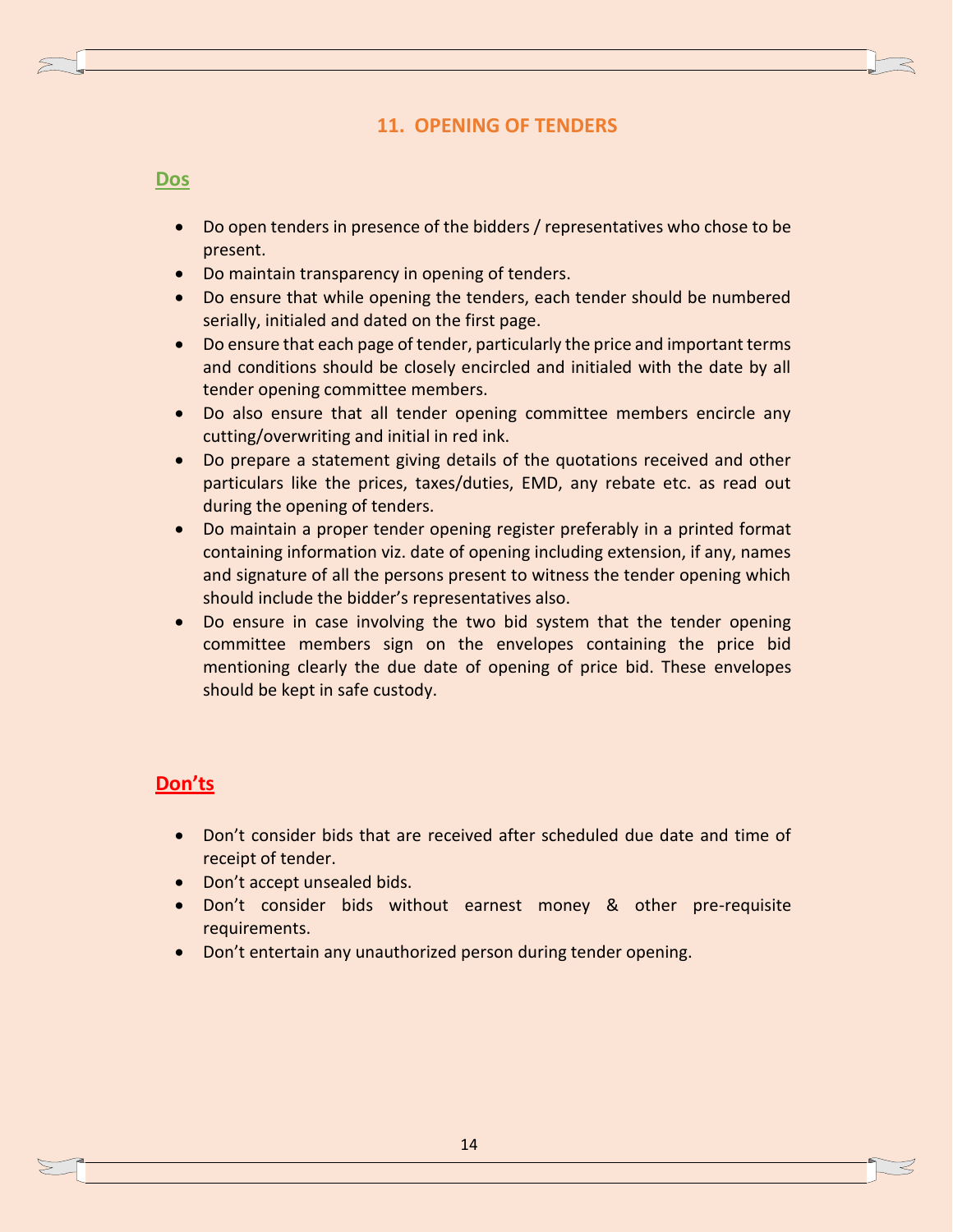## **11. OPENING OF TENDERS**

#### **Dos**

- Do open tenders in presence of the bidders / representatives who chose to be present.
- Do maintain transparency in opening of tenders.
- Do ensure that while opening the tenders, each tender should be numbered serially, initialed and dated on the first page.
- Do ensure that each page of tender, particularly the price and important terms and conditions should be closely encircled and initialed with the date by all tender opening committee members.
- Do also ensure that all tender opening committee members encircle any cutting/overwriting and initial in red ink.
- Do prepare a statement giving details of the quotations received and other particulars like the prices, taxes/duties, EMD, any rebate etc. as read out during the opening of tenders.
- Do maintain a proper tender opening register preferably in a printed format containing information viz. date of opening including extension, if any, names and signature of all the persons present to witness the tender opening which should include the bidder's representatives also.
- Do ensure in case involving the two bid system that the tender opening committee members sign on the envelopes containing the price bid mentioning clearly the due date of opening of price bid. These envelopes should be kept in safe custody.

- Don't consider bids that are received after scheduled due date and time of receipt of tender.
- Don't accept unsealed bids.
- Don't consider bids without earnest money & other pre-requisite requirements.
- Don't entertain any unauthorized person during tender opening.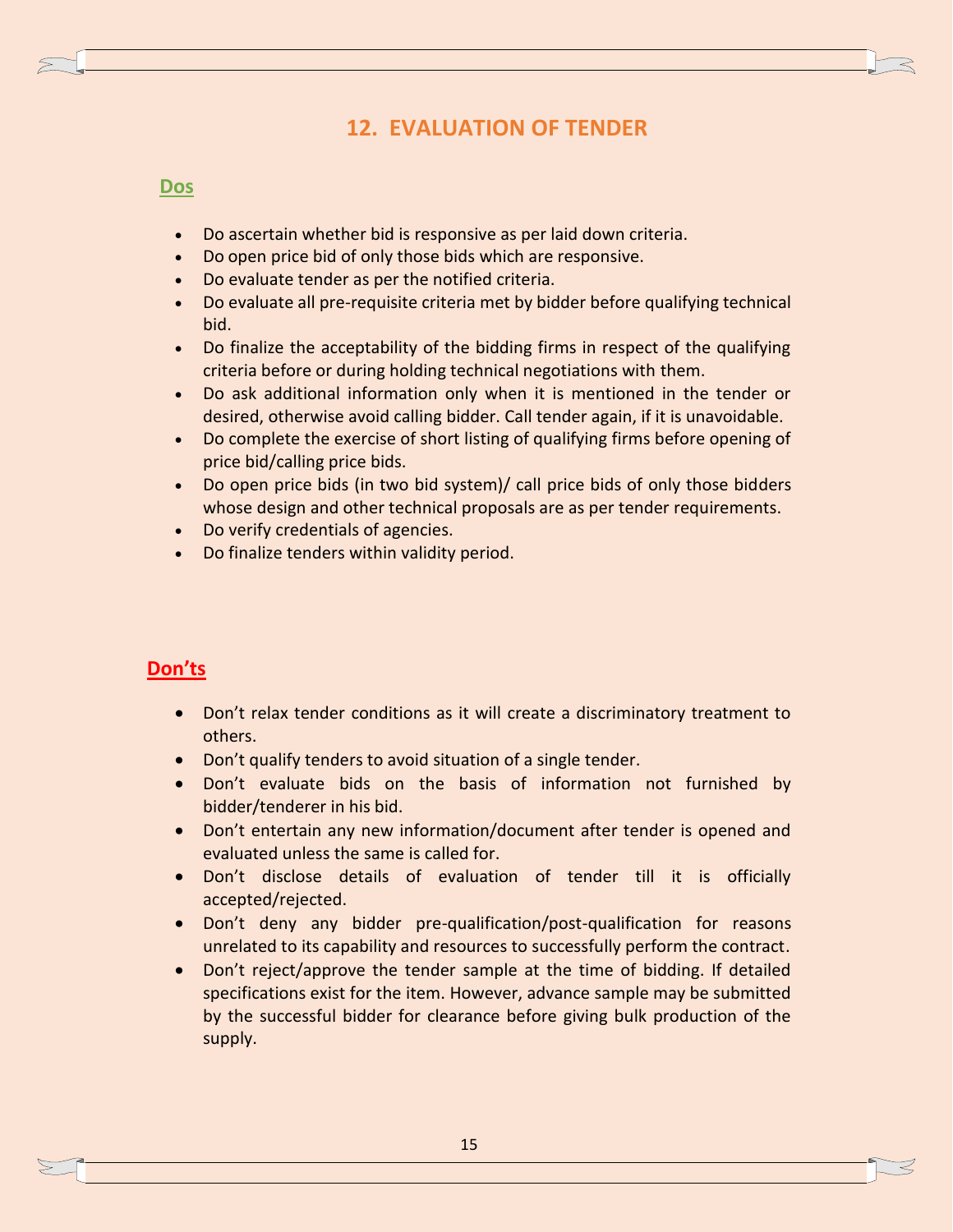# **12. EVALUATION OF TENDER**

#### **Dos**

- Do ascertain whether bid is responsive as per laid down criteria.
- Do open price bid of only those bids which are responsive.
- Do evaluate tender as per the notified criteria.
- Do evaluate all pre-requisite criteria met by bidder before qualifying technical bid.
- Do finalize the acceptability of the bidding firms in respect of the qualifying criteria before or during holding technical negotiations with them.
- Do ask additional information only when it is mentioned in the tender or desired, otherwise avoid calling bidder. Call tender again, if it is unavoidable.
- Do complete the exercise of short listing of qualifying firms before opening of price bid/calling price bids.
- Do open price bids (in two bid system)/ call price bids of only those bidders whose design and other technical proposals are as per tender requirements.
- Do verify credentials of agencies.
- Do finalize tenders within validity period.

- Don't relax tender conditions as it will create a discriminatory treatment to others.
- Don't qualify tenders to avoid situation of a single tender.
- Don't evaluate bids on the basis of information not furnished by bidder/tenderer in his bid.
- Don't entertain any new information/document after tender is opened and evaluated unless the same is called for.
- Don't disclose details of evaluation of tender till it is officially accepted/rejected.
- Don't deny any bidder pre-qualification/post-qualification for reasons unrelated to its capability and resources to successfully perform the contract.
- Don't reject/approve the tender sample at the time of bidding. If detailed specifications exist for the item. However, advance sample may be submitted by the successful bidder for clearance before giving bulk production of the supply.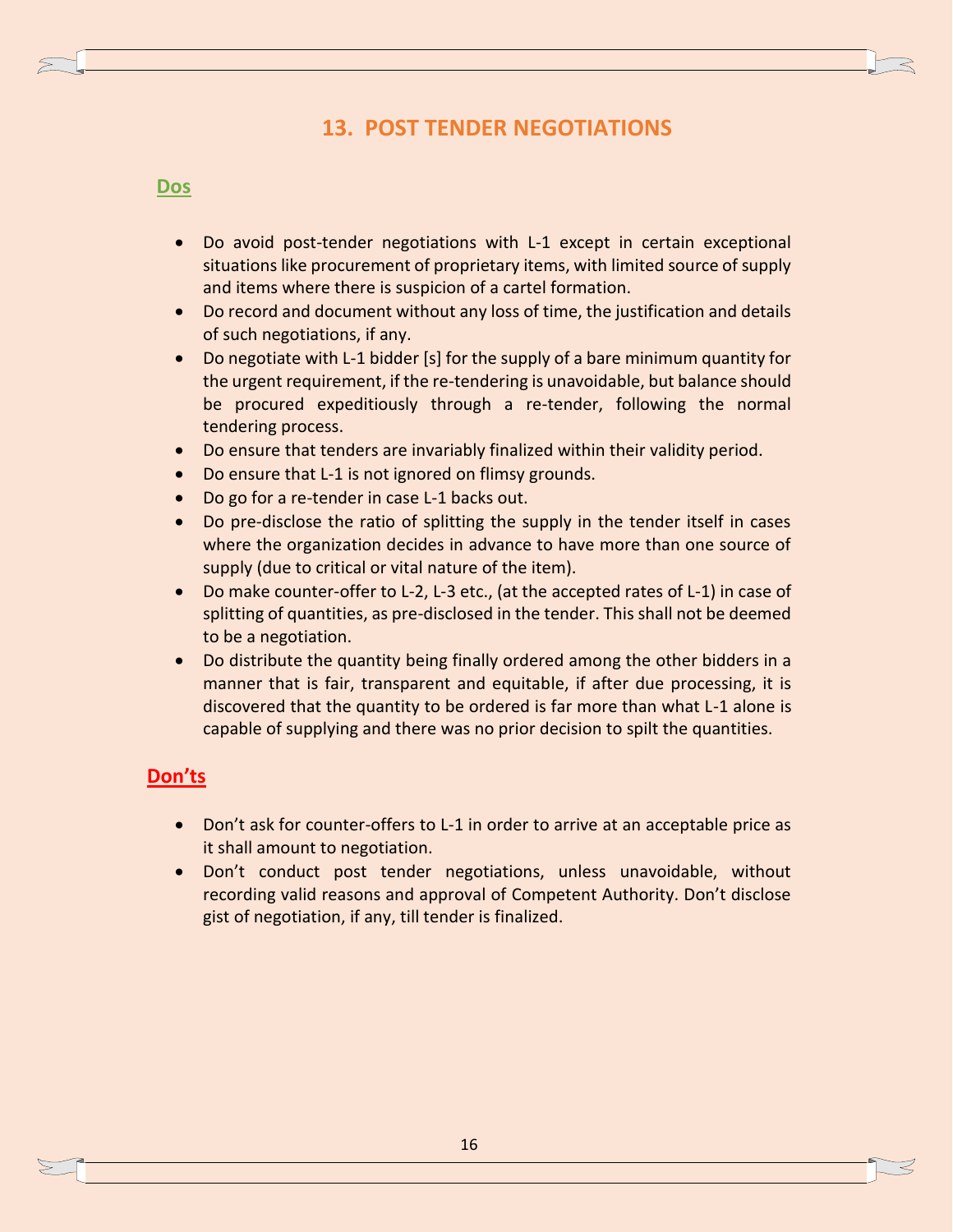# **13. POST TENDER NEGOTIATIONS**

#### **Dos**

- Do avoid post-tender negotiations with L-1 except in certain exceptional situations like procurement of proprietary items, with limited source of supply and items where there is suspicion of a cartel formation.
- Do record and document without any loss of time, the justification and details of such negotiations, if any.
- Do negotiate with L-1 bidder [s] for the supply of a bare minimum quantity for the urgent requirement, if the re-tendering is unavoidable, but balance should be procured expeditiously through a re-tender, following the normal tendering process.
- Do ensure that tenders are invariably finalized within their validity period.
- Do ensure that L-1 is not ignored on flimsy grounds.
- Do go for a re-tender in case L-1 backs out.
- Do pre-disclose the ratio of splitting the supply in the tender itself in cases where the organization decides in advance to have more than one source of supply (due to critical or vital nature of the item).
- Do make counter-offer to L-2, L-3 etc., (at the accepted rates of L-1) in case of splitting of quantities, as pre-disclosed in the tender. This shall not be deemed to be a negotiation.
- Do distribute the quantity being finally ordered among the other bidders in a manner that is fair, transparent and equitable, if after due processing, it is discovered that the quantity to be ordered is far more than what L-1 alone is capable of supplying and there was no prior decision to spilt the quantities.

- Don't ask for counter-offers to L-1 in order to arrive at an acceptable price as it shall amount to negotiation.
- Don't conduct post tender negotiations, unless unavoidable, without recording valid reasons and approval of Competent Authority. Don't disclose gist of negotiation, if any, till tender is finalized.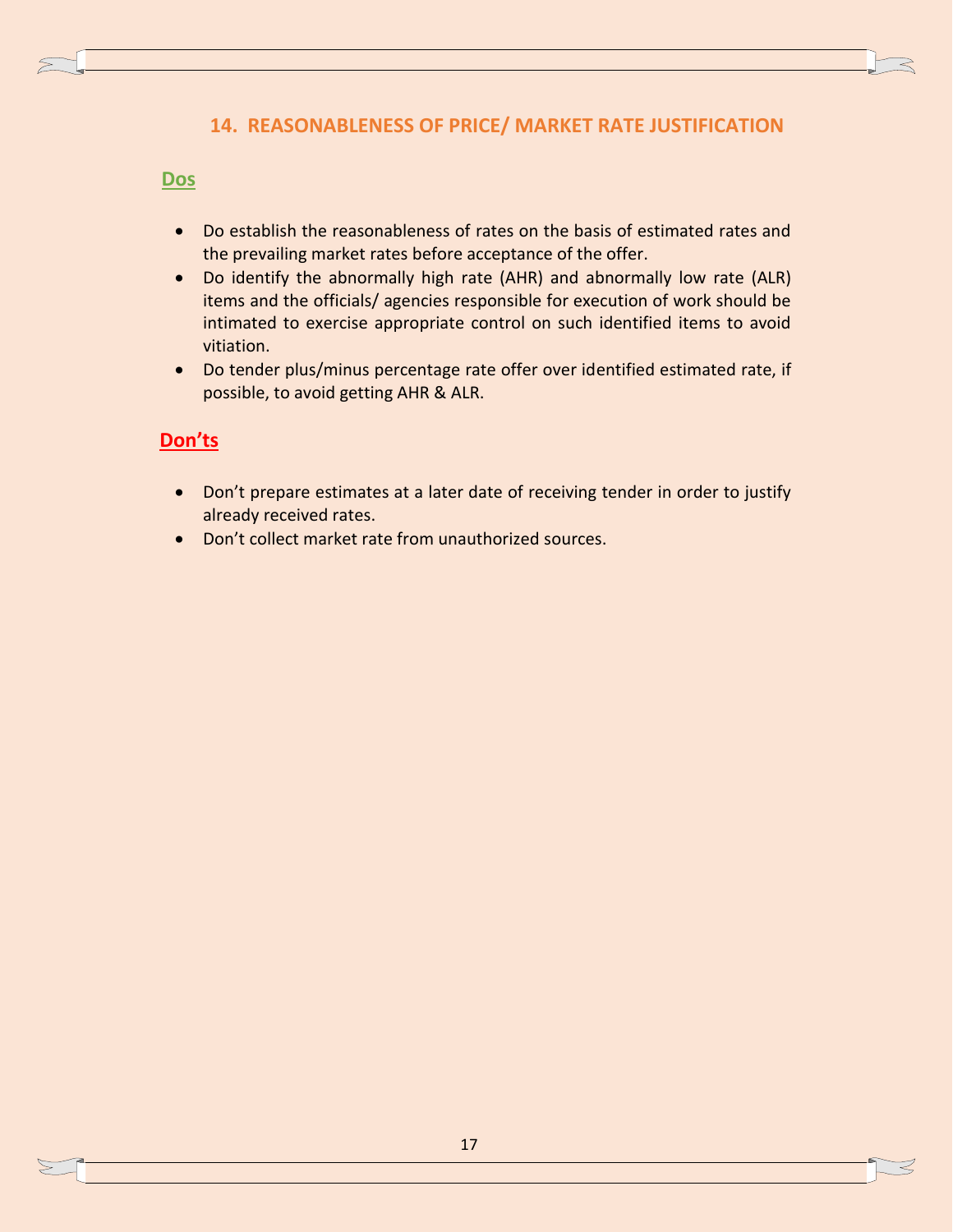## **14. REASONABLENESS OF PRICE/ MARKET RATE JUSTIFICATION**

#### **Dos**

- Do establish the reasonableness of rates on the basis of estimated rates and the prevailing market rates before acceptance of the offer.
- Do identify the abnormally high rate (AHR) and abnormally low rate (ALR) items and the officials/ agencies responsible for execution of work should be intimated to exercise appropriate control on such identified items to avoid vitiation.
- Do tender plus/minus percentage rate offer over identified estimated rate, if possible, to avoid getting AHR & ALR.

- Don't prepare estimates at a later date of receiving tender in order to justify already received rates.
- Don't collect market rate from unauthorized sources.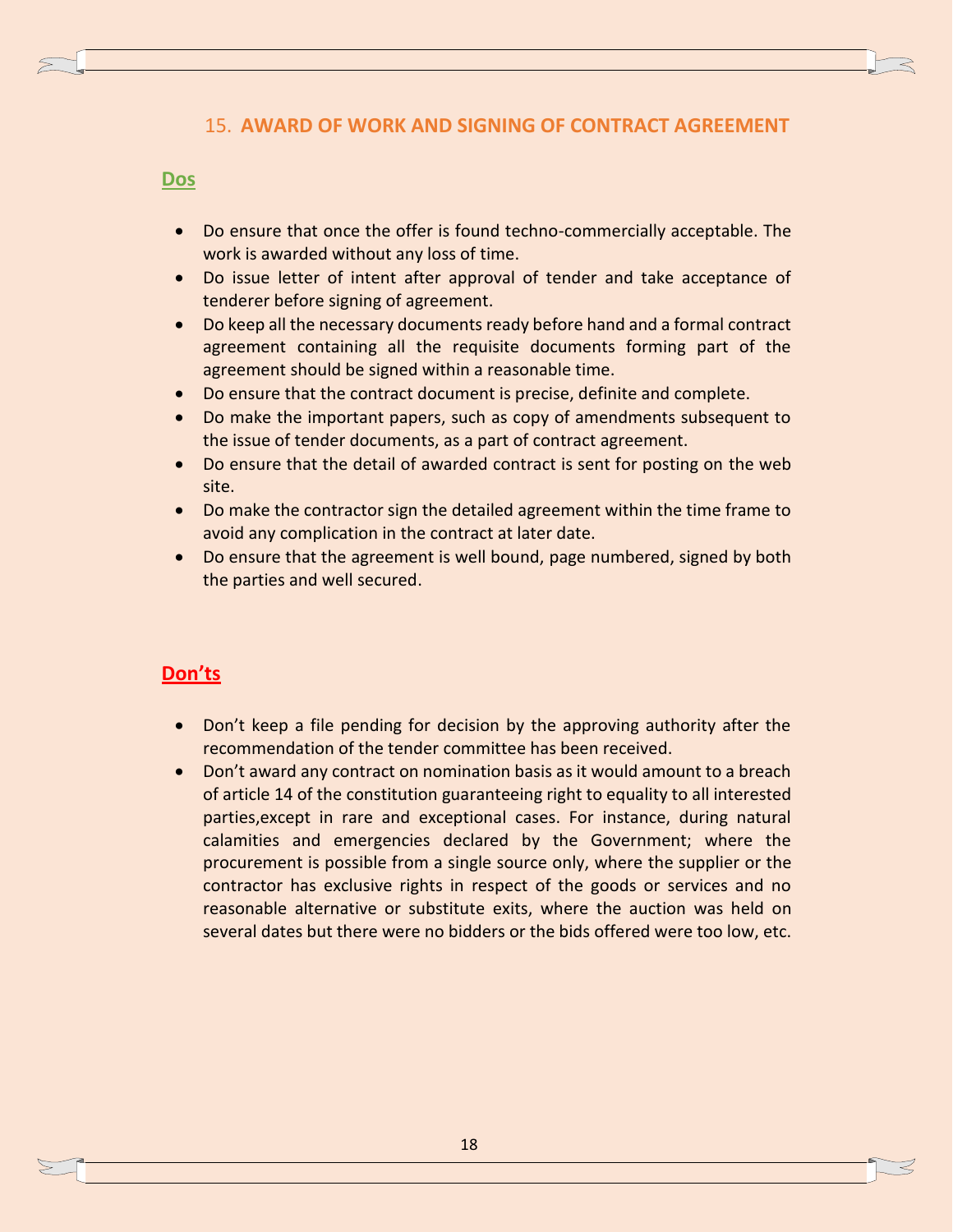## 15. **AWARD OF WORK AND SIGNING OF CONTRACT AGREEMENT**

#### **Dos**

- Do ensure that once the offer is found techno-commercially acceptable. The work is awarded without any loss of time.
- Do issue letter of intent after approval of tender and take acceptance of tenderer before signing of agreement.
- Do keep all the necessary documents ready before hand and a formal contract agreement containing all the requisite documents forming part of the agreement should be signed within a reasonable time.
- Do ensure that the contract document is precise, definite and complete.
- Do make the important papers, such as copy of amendments subsequent to the issue of tender documents, as a part of contract agreement.
- Do ensure that the detail of awarded contract is sent for posting on the web site.
- Do make the contractor sign the detailed agreement within the time frame to avoid any complication in the contract at later date.
- Do ensure that the agreement is well bound, page numbered, signed by both the parties and well secured.

- Don't keep a file pending for decision by the approving authority after the recommendation of the tender committee has been received.
- Don't award any contract on nomination basis as it would amount to a breach of article 14 of the constitution guaranteeing right to equality to all interested parties,except in rare and exceptional cases. For instance, during natural calamities and emergencies declared by the Government; where the procurement is possible from a single source only, where the supplier or the contractor has exclusive rights in respect of the goods or services and no reasonable alternative or substitute exits, where the auction was held on several dates but there were no bidders or the bids offered were too low, etc.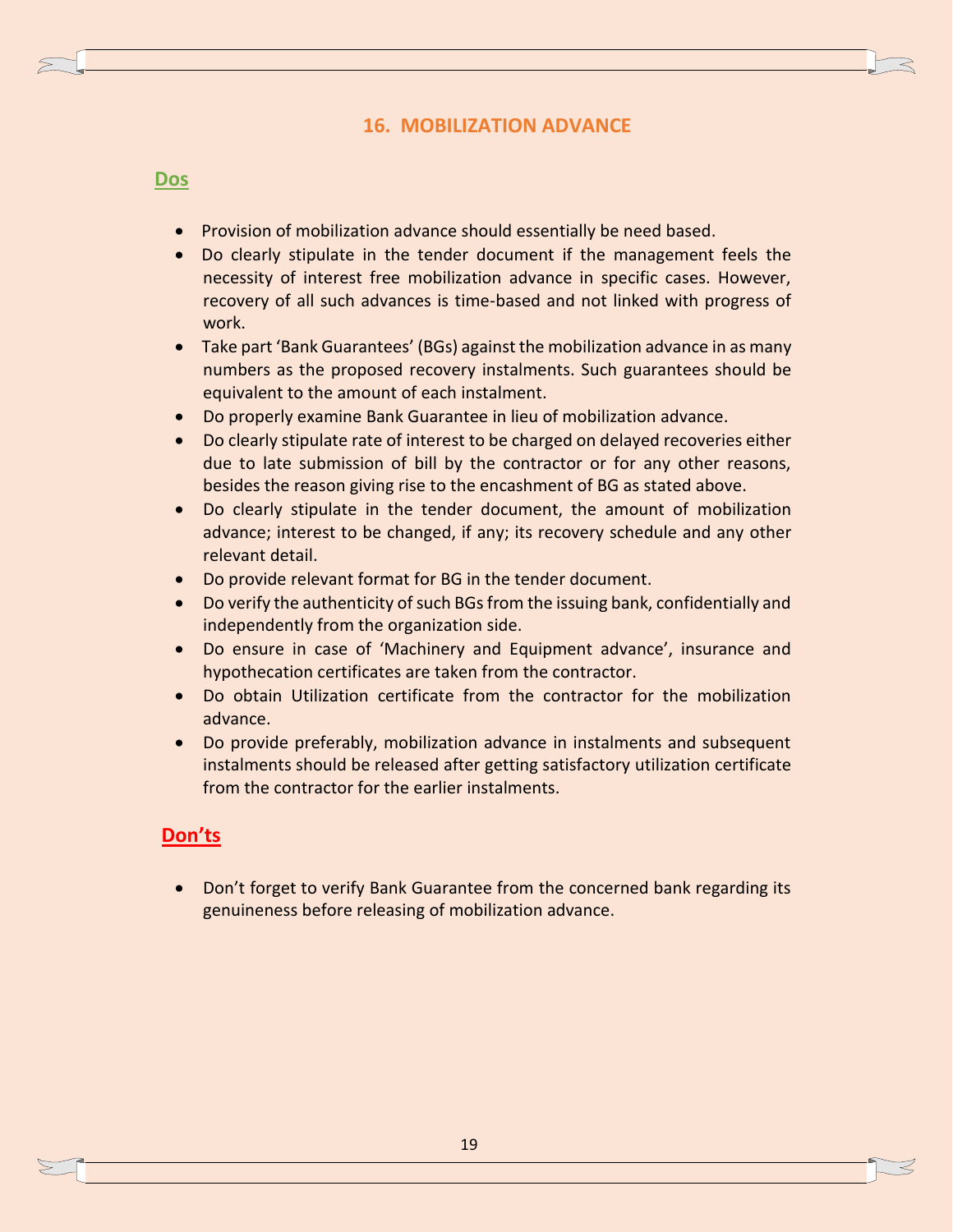## **16. MOBILIZATION ADVANCE**

#### **Dos**

- Provision of mobilization advance should essentially be need based.
- Do clearly stipulate in the tender document if the management feels the necessity of interest free mobilization advance in specific cases. However, recovery of all such advances is time-based and not linked with progress of work.
- Take part 'Bank Guarantees' (BGs) against the mobilization advance in as many numbers as the proposed recovery instalments. Such guarantees should be equivalent to the amount of each instalment.
- Do properly examine Bank Guarantee in lieu of mobilization advance.
- Do clearly stipulate rate of interest to be charged on delayed recoveries either due to late submission of bill by the contractor or for any other reasons, besides the reason giving rise to the encashment of BG as stated above.
- Do clearly stipulate in the tender document, the amount of mobilization advance; interest to be changed, if any; its recovery schedule and any other relevant detail.
- Do provide relevant format for BG in the tender document.
- Do verify the authenticity of such BGs from the issuing bank, confidentially and independently from the organization side.
- Do ensure in case of 'Machinery and Equipment advance', insurance and hypothecation certificates are taken from the contractor.
- Do obtain Utilization certificate from the contractor for the mobilization advance.
- Do provide preferably, mobilization advance in instalments and subsequent instalments should be released after getting satisfactory utilization certificate from the contractor for the earlier instalments.

## **Don'ts**

• Don't forget to verify Bank Guarantee from the concerned bank regarding its genuineness before releasing of mobilization advance.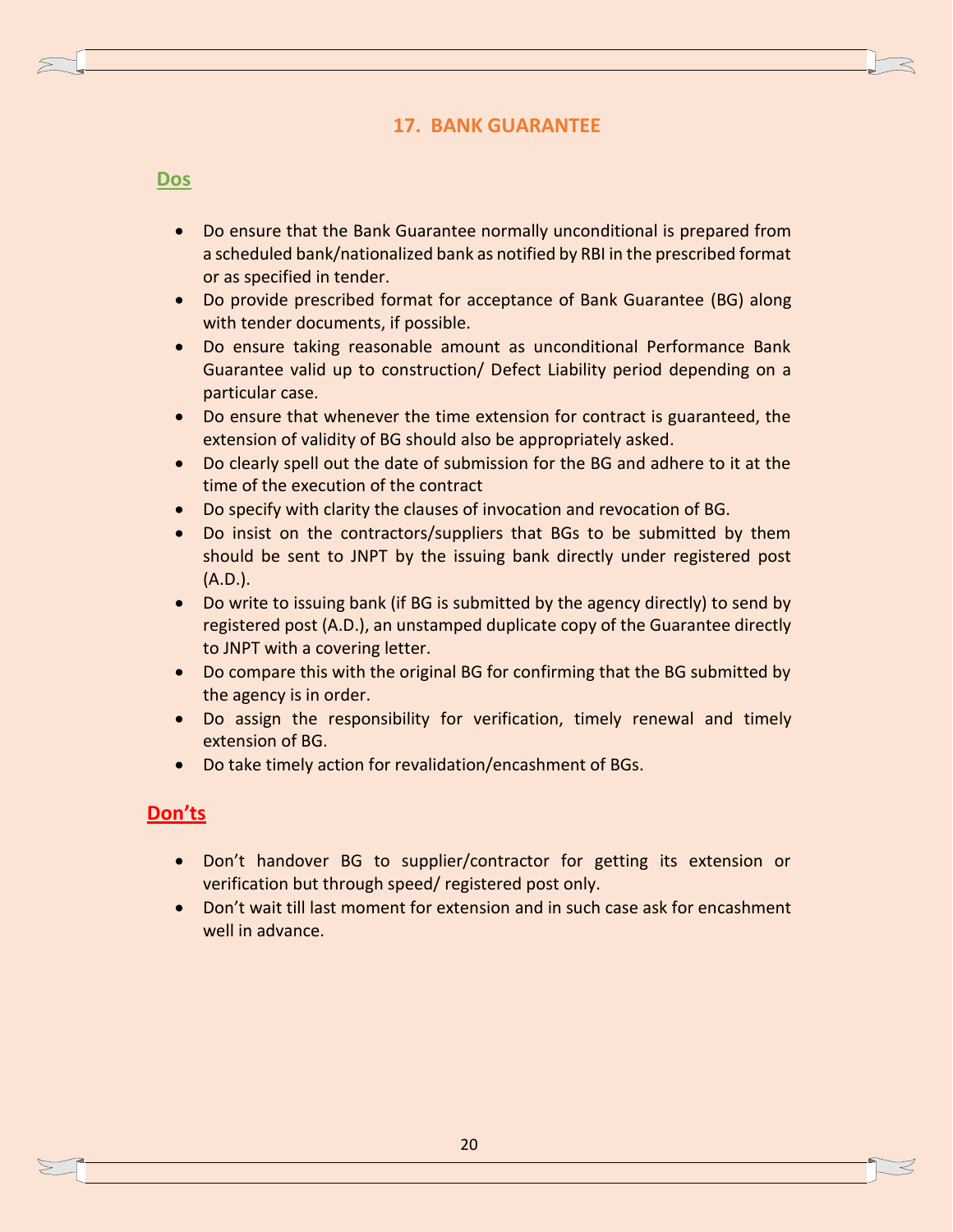## **17. BANK GUARANTEE**

#### **Dos**

- Do ensure that the Bank Guarantee normally unconditional is prepared from a scheduled bank/nationalized bank as notified by RBI in the prescribed format or as specified in tender.
- Do provide prescribed format for acceptance of Bank Guarantee (BG) along with tender documents, if possible.
- Do ensure taking reasonable amount as unconditional Performance Bank Guarantee valid up to construction/ Defect Liability period depending on a particular case.
- Do ensure that whenever the time extension for contract is guaranteed, the extension of validity of BG should also be appropriately asked.
- Do clearly spell out the date of submission for the BG and adhere to it at the time of the execution of the contract
- Do specify with clarity the clauses of invocation and revocation of BG.
- Do insist on the contractors/suppliers that BGs to be submitted by them should be sent to JNPT by the issuing bank directly under registered post (A.D.).
- Do write to issuing bank (if BG is submitted by the agency directly) to send by registered post (A.D.), an unstamped duplicate copy of the Guarantee directly to JNPT with a covering letter.
- Do compare this with the original BG for confirming that the BG submitted by the agency is in order.
- Do assign the responsibility for verification, timely renewal and timely extension of BG.
- Do take timely action for revalidation/encashment of BGs.

- Don't handover BG to supplier/contractor for getting its extension or verification but through speed/ registered post only.
- Don't wait till last moment for extension and in such case ask for encashment well in advance.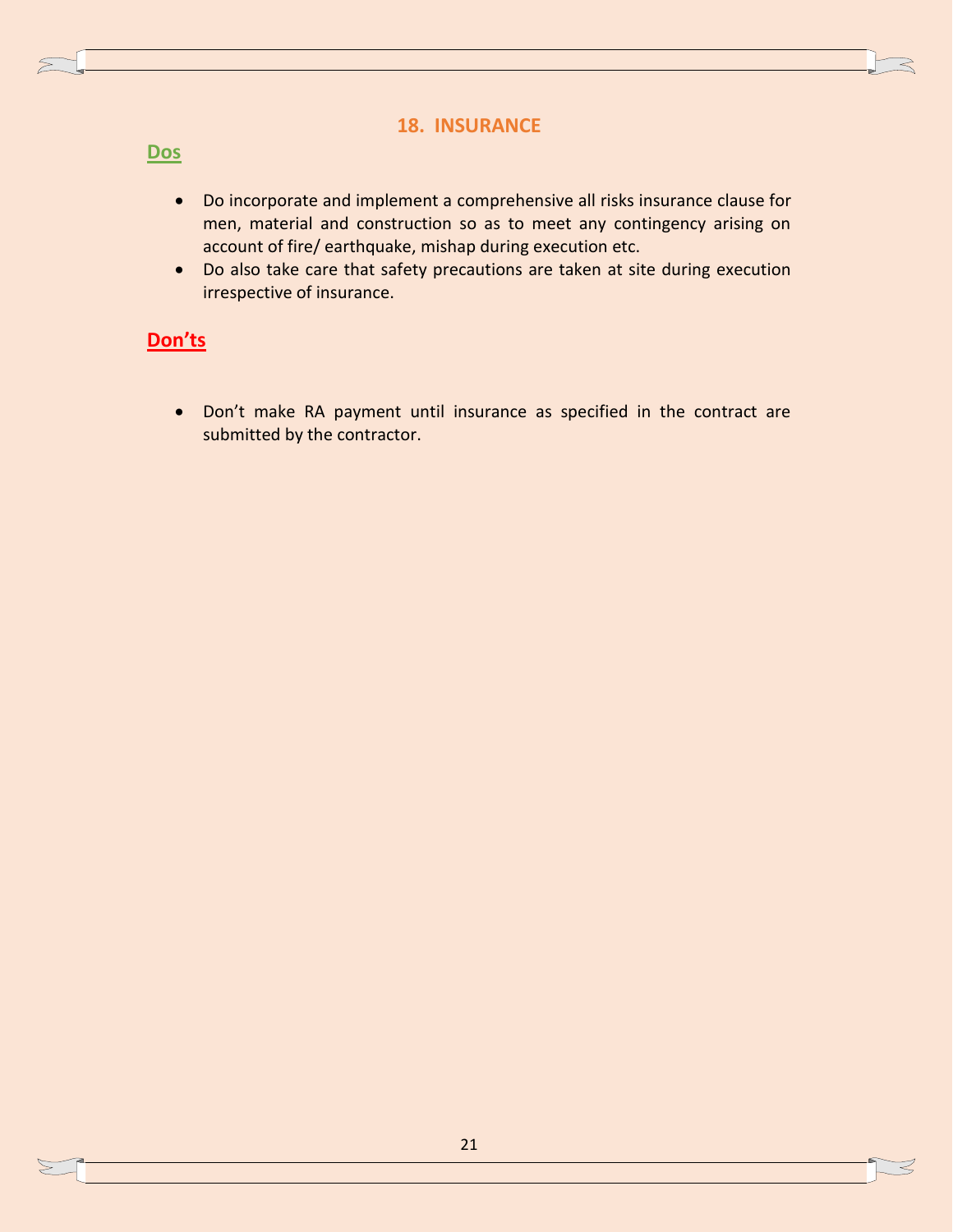### **18. INSURANCE**

## **Dos**

- Do incorporate and implement a comprehensive all risks insurance clause for men, material and construction so as to meet any contingency arising on account of fire/ earthquake, mishap during execution etc.
- Do also take care that safety precautions are taken at site during execution irrespective of insurance.

# **Don'ts**

 Don't make RA payment until insurance as specified in the contract are submitted by the contractor.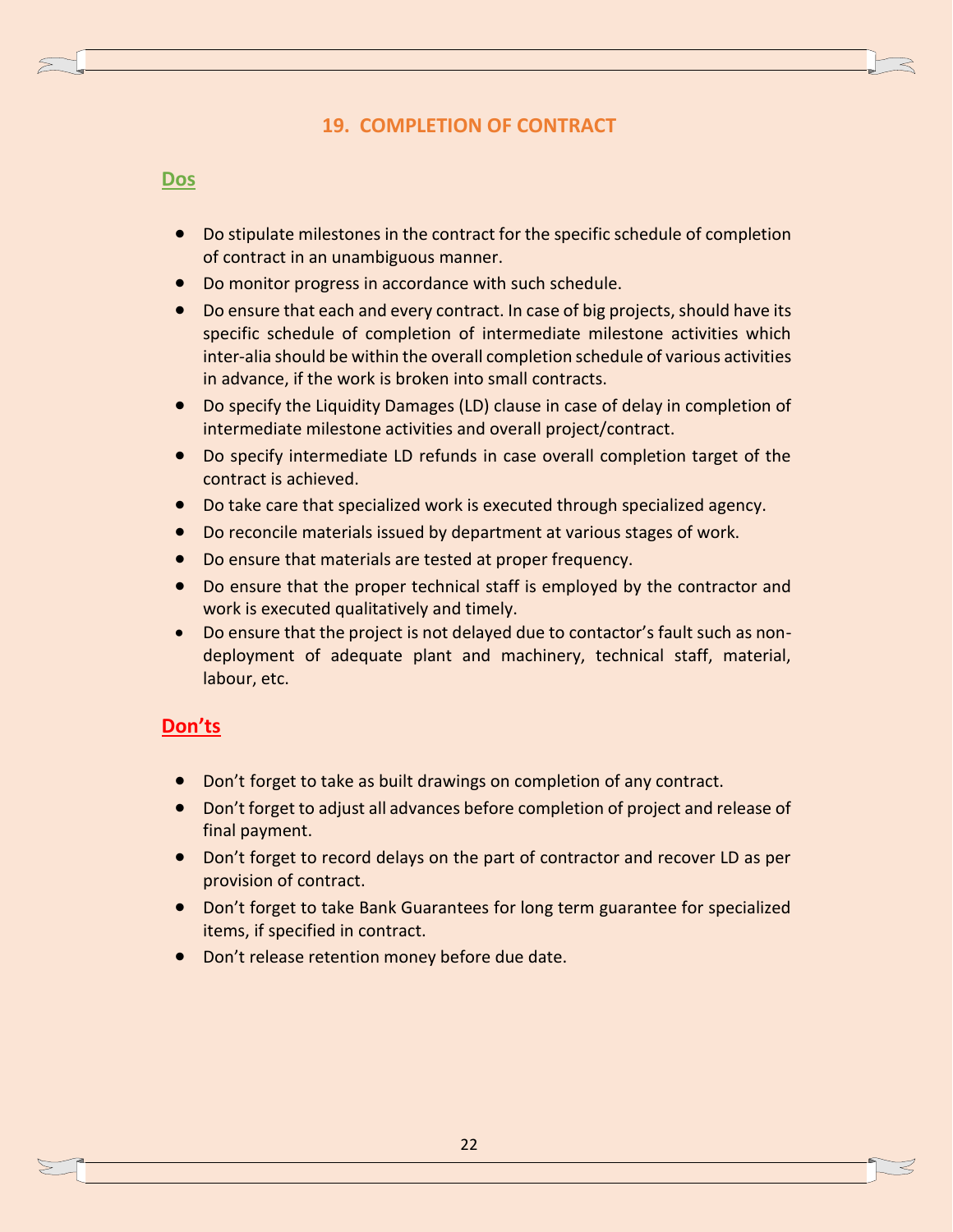## **19. COMPLETION OF CONTRACT**

#### **Dos**

- Do stipulate milestones in the contract for the specific schedule of completion of contract in an unambiguous manner.
- Do monitor progress in accordance with such schedule.
- Do ensure that each and every contract. In case of big projects, should have its specific schedule of completion of intermediate milestone activities which inter-alia should be within the overall completion schedule of various activities in advance, if the work is broken into small contracts.
- Do specify the Liquidity Damages (LD) clause in case of delay in completion of intermediate milestone activities and overall project/contract.
- Do specify intermediate LD refunds in case overall completion target of the contract is achieved.
- Do take care that specialized work is executed through specialized agency.
- Do reconcile materials issued by department at various stages of work.
- Do ensure that materials are tested at proper frequency.
- Do ensure that the proper technical staff is employed by the contractor and work is executed qualitatively and timely.
- Do ensure that the project is not delayed due to contactor's fault such as nondeployment of adequate plant and machinery, technical staff, material, labour, etc.

- Don't forget to take as built drawings on completion of any contract.
- Don't forget to adjust all advances before completion of project and release of final payment.
- Don't forget to record delays on the part of contractor and recover LD as per provision of contract.
- Don't forget to take Bank Guarantees for long term guarantee for specialized items, if specified in contract.
- Don't release retention money before due date.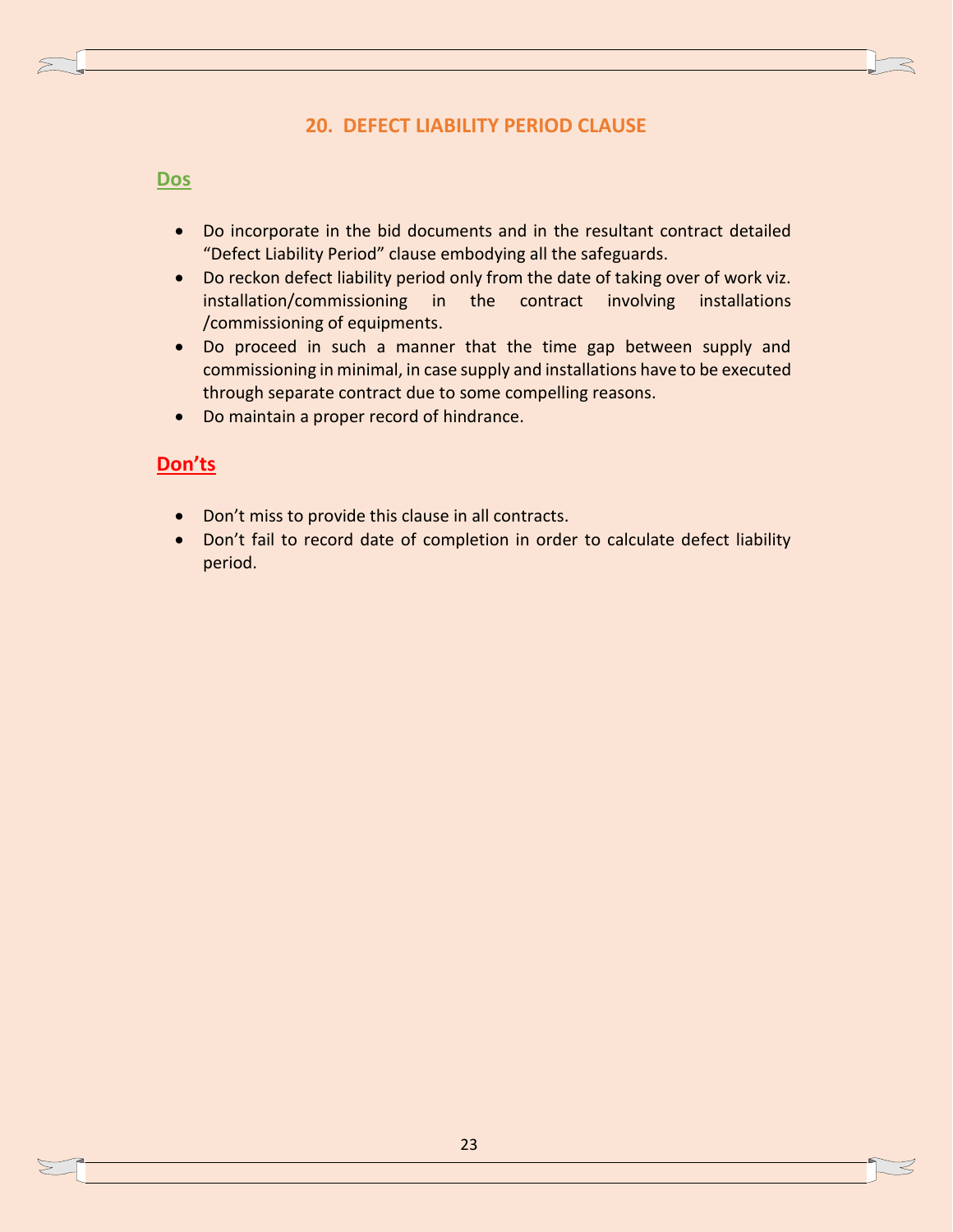## **20. DEFECT LIABILITY PERIOD CLAUSE**

#### **Dos**

- Do incorporate in the bid documents and in the resultant contract detailed "Defect Liability Period" clause embodying all the safeguards.
- Do reckon defect liability period only from the date of taking over of work viz. installation/commissioning in the contract involving installations /commissioning of equipments.
- Do proceed in such a manner that the time gap between supply and commissioning in minimal, in case supply and installations have to be executed through separate contract due to some compelling reasons.
- Do maintain a proper record of hindrance.

- Don't miss to provide this clause in all contracts.
- Don't fail to record date of completion in order to calculate defect liability period.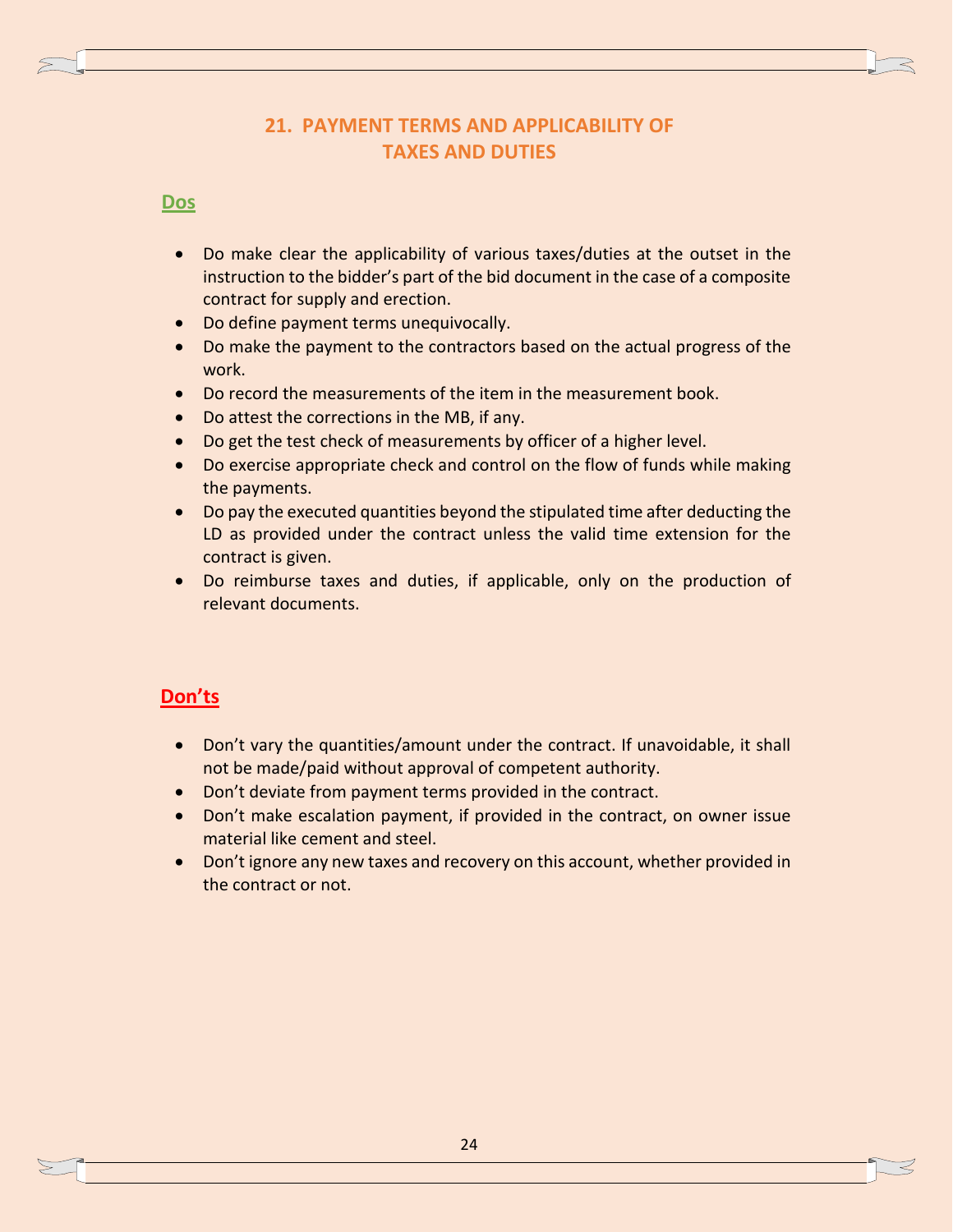# **21. PAYMENT TERMS AND APPLICABILITY OF TAXES AND DUTIES**

## **Dos**

- Do make clear the applicability of various taxes/duties at the outset in the instruction to the bidder's part of the bid document in the case of a composite contract for supply and erection.
- Do define payment terms unequivocally.
- Do make the payment to the contractors based on the actual progress of the work.
- Do record the measurements of the item in the measurement book.
- Do attest the corrections in the MB, if any.
- Do get the test check of measurements by officer of a higher level.
- Do exercise appropriate check and control on the flow of funds while making the payments.
- Do pay the executed quantities beyond the stipulated time after deducting the LD as provided under the contract unless the valid time extension for the contract is given.
- Do reimburse taxes and duties, if applicable, only on the production of relevant documents.

- Don't vary the quantities/amount under the contract. If unavoidable, it shall not be made/paid without approval of competent authority.
- Don't deviate from payment terms provided in the contract.
- Don't make escalation payment, if provided in the contract, on owner issue material like cement and steel.
- Don't ignore any new taxes and recovery on this account, whether provided in the contract or not.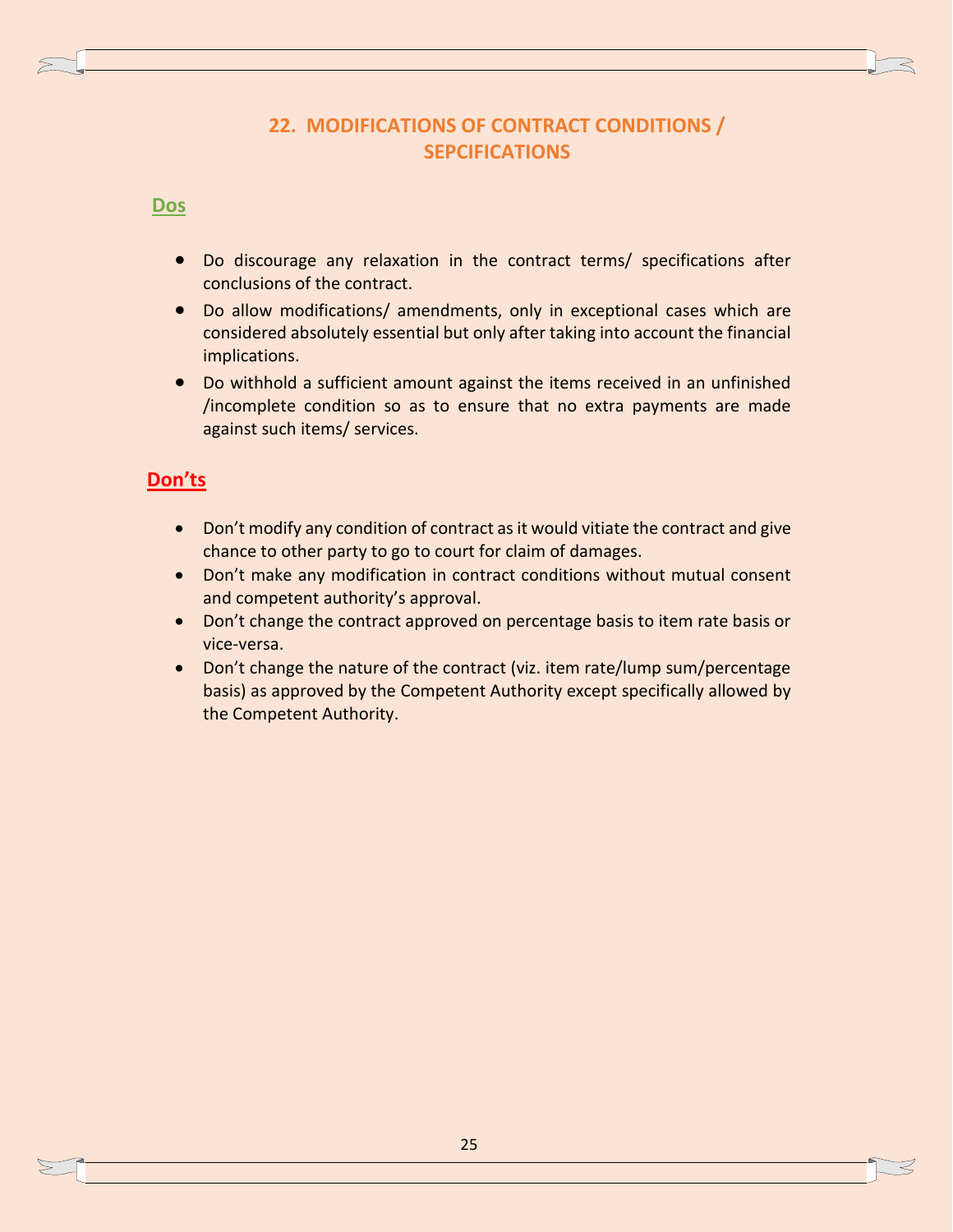# **22. MODIFICATIONS OF CONTRACT CONDITIONS / SEPCIFICATIONS**

## **Dos**

- Do discourage any relaxation in the contract terms/ specifications after conclusions of the contract.
- Do allow modifications/ amendments, only in exceptional cases which are considered absolutely essential but only after taking into account the financial implications.
- Do withhold a sufficient amount against the items received in an unfinished /incomplete condition so as to ensure that no extra payments are made against such items/ services.

- Don't modify any condition of contract as it would vitiate the contract and give chance to other party to go to court for claim of damages.
- Don't make any modification in contract conditions without mutual consent and competent authority's approval.
- Don't change the contract approved on percentage basis to item rate basis or vice-versa.
- Don't change the nature of the contract (viz. item rate/lump sum/percentage basis) as approved by the Competent Authority except specifically allowed by the Competent Authority.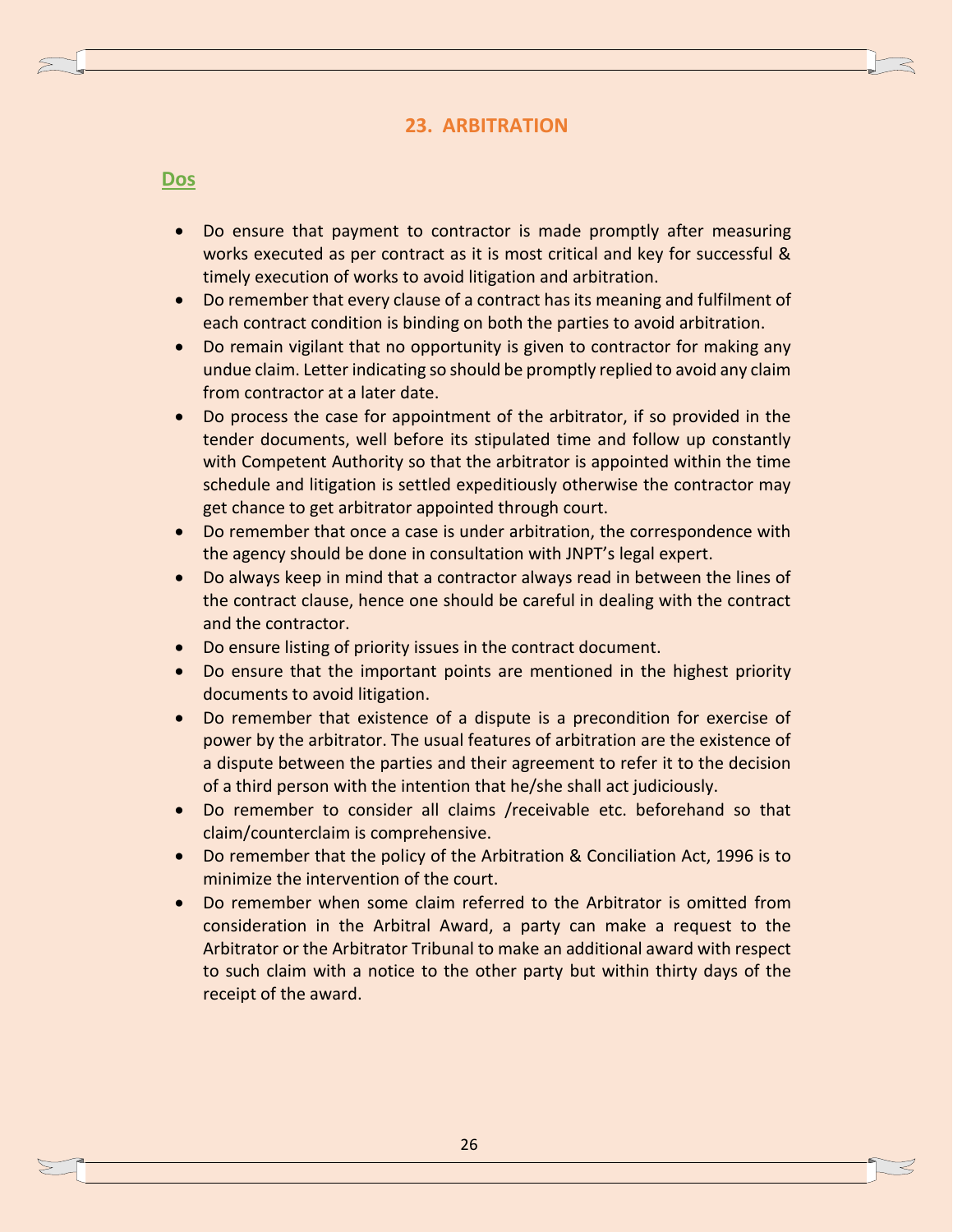## **23. ARBITRATION**

#### **Dos**

- Do ensure that payment to contractor is made promptly after measuring works executed as per contract as it is most critical and key for successful & timely execution of works to avoid litigation and arbitration.
- Do remember that every clause of a contract has its meaning and fulfilment of each contract condition is binding on both the parties to avoid arbitration.
- Do remain vigilant that no opportunity is given to contractor for making any undue claim. Letter indicating so should be promptly replied to avoid any claim from contractor at a later date.
- Do process the case for appointment of the arbitrator, if so provided in the tender documents, well before its stipulated time and follow up constantly with Competent Authority so that the arbitrator is appointed within the time schedule and litigation is settled expeditiously otherwise the contractor may get chance to get arbitrator appointed through court.
- Do remember that once a case is under arbitration, the correspondence with the agency should be done in consultation with JNPT's legal expert.
- Do always keep in mind that a contractor always read in between the lines of the contract clause, hence one should be careful in dealing with the contract and the contractor.
- Do ensure listing of priority issues in the contract document.
- Do ensure that the important points are mentioned in the highest priority documents to avoid litigation.
- Do remember that existence of a dispute is a precondition for exercise of power by the arbitrator. The usual features of arbitration are the existence of a dispute between the parties and their agreement to refer it to the decision of a third person with the intention that he/she shall act judiciously.
- Do remember to consider all claims /receivable etc. beforehand so that claim/counterclaim is comprehensive.
- Do remember that the policy of the Arbitration & Conciliation Act, 1996 is to minimize the intervention of the court.
- Do remember when some claim referred to the Arbitrator is omitted from consideration in the Arbitral Award, a party can make a request to the Arbitrator or the Arbitrator Tribunal to make an additional award with respect to such claim with a notice to the other party but within thirty days of the receipt of the award.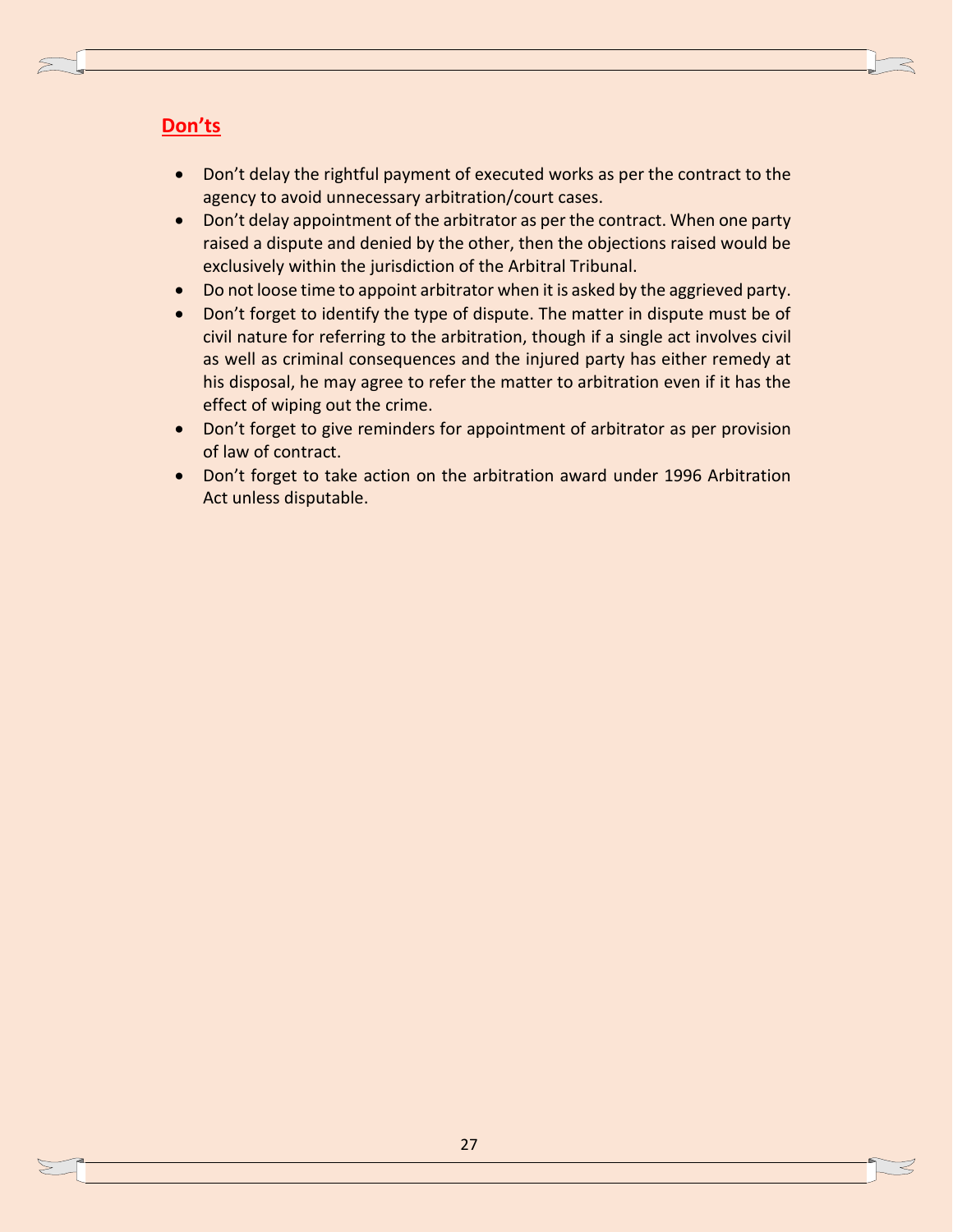- Don't delay the rightful payment of executed works as per the contract to the agency to avoid unnecessary arbitration/court cases.
- Don't delay appointment of the arbitrator as per the contract. When one party raised a dispute and denied by the other, then the objections raised would be exclusively within the jurisdiction of the Arbitral Tribunal.
- Do not loose time to appoint arbitrator when it is asked by the aggrieved party.
- Don't forget to identify the type of dispute. The matter in dispute must be of civil nature for referring to the arbitration, though if a single act involves civil as well as criminal consequences and the injured party has either remedy at his disposal, he may agree to refer the matter to arbitration even if it has the effect of wiping out the crime.
- Don't forget to give reminders for appointment of arbitrator as per provision of law of contract.
- Don't forget to take action on the arbitration award under 1996 Arbitration Act unless disputable.